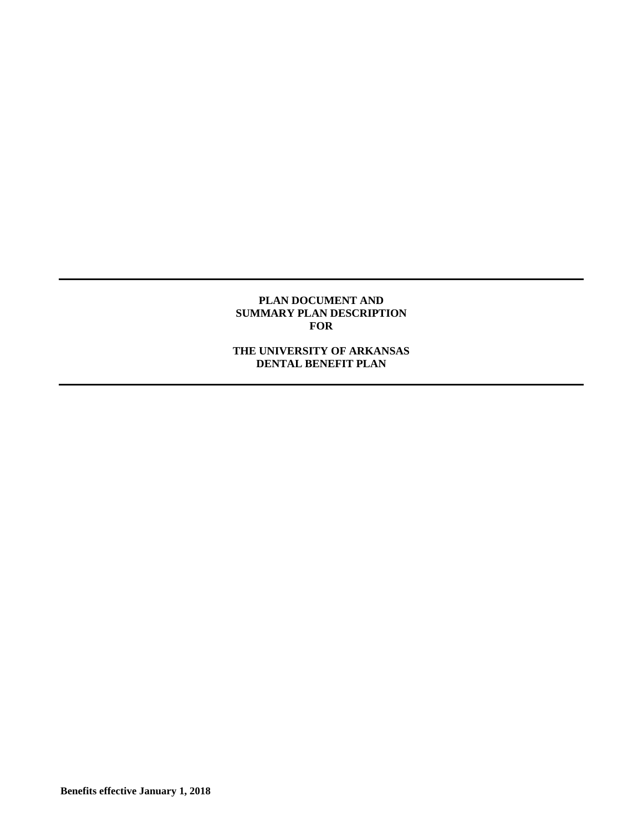#### **PLAN DOCUMENT AND SUMMARY PLAN DESCRIPTION FOR**

# **THE UNIVERSITY OF ARKANSAS DENTAL BENEFIT PLAN**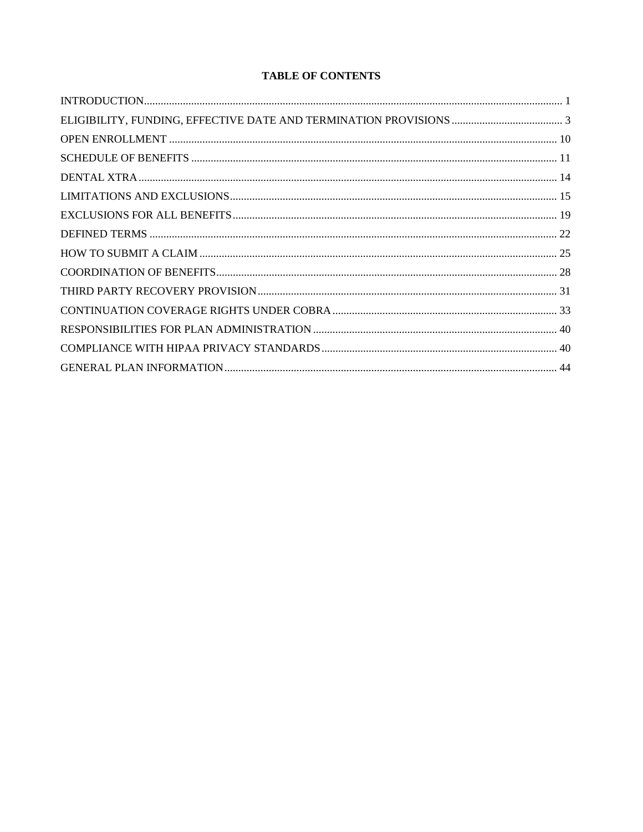# **TABLE OF CONTENTS**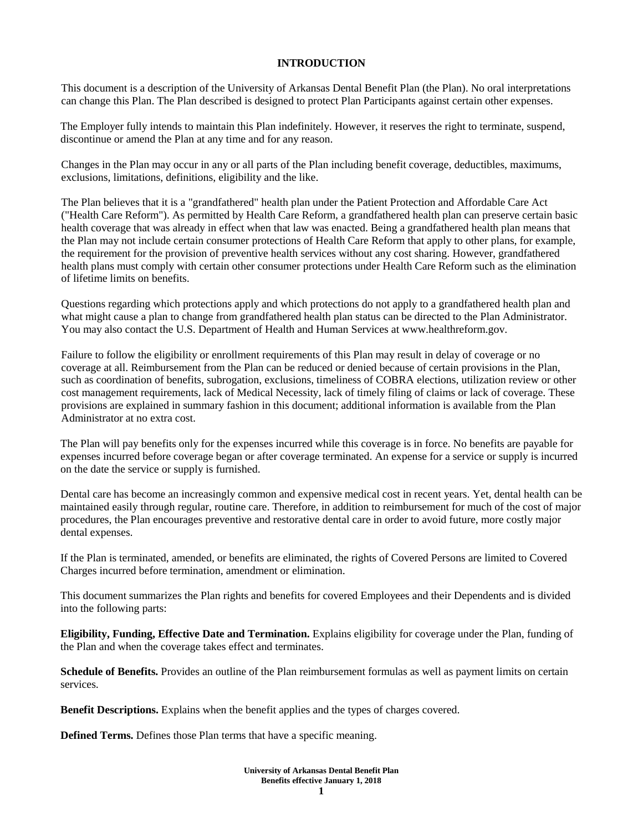### **INTRODUCTION**

This document is a description of the University of Arkansas Dental Benefit Plan (the Plan). No oral interpretations can change this Plan. The Plan described is designed to protect Plan Participants against certain other expenses.

The Employer fully intends to maintain this Plan indefinitely. However, it reserves the right to terminate, suspend, discontinue or amend the Plan at any time and for any reason.

Changes in the Plan may occur in any or all parts of the Plan including benefit coverage, deductibles, maximums, exclusions, limitations, definitions, eligibility and the like.

The Plan believes that it is a "grandfathered" health plan under the Patient Protection and Affordable Care Act ("Health Care Reform"). As permitted by Health Care Reform, a grandfathered health plan can preserve certain basic health coverage that was already in effect when that law was enacted. Being a grandfathered health plan means that the Plan may not include certain consumer protections of Health Care Reform that apply to other plans, for example, the requirement for the provision of preventive health services without any cost sharing. However, grandfathered health plans must comply with certain other consumer protections under Health Care Reform such as the elimination of lifetime limits on benefits.

Questions regarding which protections apply and which protections do not apply to a grandfathered health plan and what might cause a plan to change from grandfathered health plan status can be directed to the Plan Administrator. You may also contact the U.S. Department of Health and Human Services at www.healthreform.gov.

Failure to follow the eligibility or enrollment requirements of this Plan may result in delay of coverage or no coverage at all. Reimbursement from the Plan can be reduced or denied because of certain provisions in the Plan, such as coordination of benefits, subrogation, exclusions, timeliness of COBRA elections, utilization review or other cost management requirements, lack of Medical Necessity, lack of timely filing of claims or lack of coverage. These provisions are explained in summary fashion in this document; additional information is available from the Plan Administrator at no extra cost.

The Plan will pay benefits only for the expenses incurred while this coverage is in force. No benefits are payable for expenses incurred before coverage began or after coverage terminated. An expense for a service or supply is incurred on the date the service or supply is furnished.

Dental care has become an increasingly common and expensive medical cost in recent years. Yet, dental health can be maintained easily through regular, routine care. Therefore, in addition to reimbursement for much of the cost of major procedures, the Plan encourages preventive and restorative dental care in order to avoid future, more costly major dental expenses.

If the Plan is terminated, amended, or benefits are eliminated, the rights of Covered Persons are limited to Covered Charges incurred before termination, amendment or elimination.

This document summarizes the Plan rights and benefits for covered Employees and their Dependents and is divided into the following parts:

**Eligibility, Funding, Effective Date and Termination.** Explains eligibility for coverage under the Plan, funding of the Plan and when the coverage takes effect and terminates.

**Schedule of Benefits.** Provides an outline of the Plan reimbursement formulas as well as payment limits on certain services.

**Benefit Descriptions.** Explains when the benefit applies and the types of charges covered.

**Defined Terms.** Defines those Plan terms that have a specific meaning.

**University of Arkansas Dental Benefit Plan Benefits effective January 1, 2018**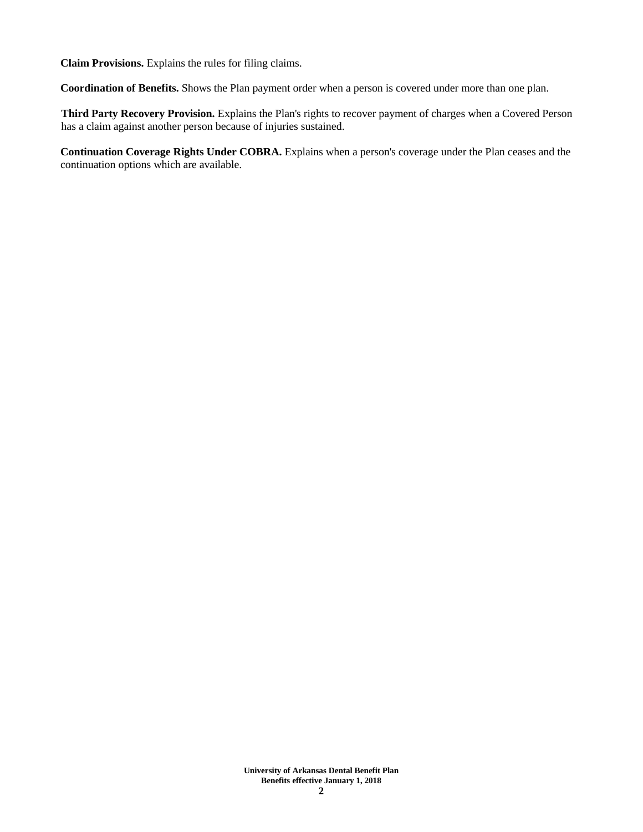**Claim Provisions.** Explains the rules for filing claims.

**Coordination of Benefits.** Shows the Plan payment order when a person is covered under more than one plan.

**Third Party Recovery Provision.** Explains the Plan's rights to recover payment of charges when a Covered Person has a claim against another person because of injuries sustained.

**Continuation Coverage Rights Under COBRA.** Explains when a person's coverage under the Plan ceases and the continuation options which are available.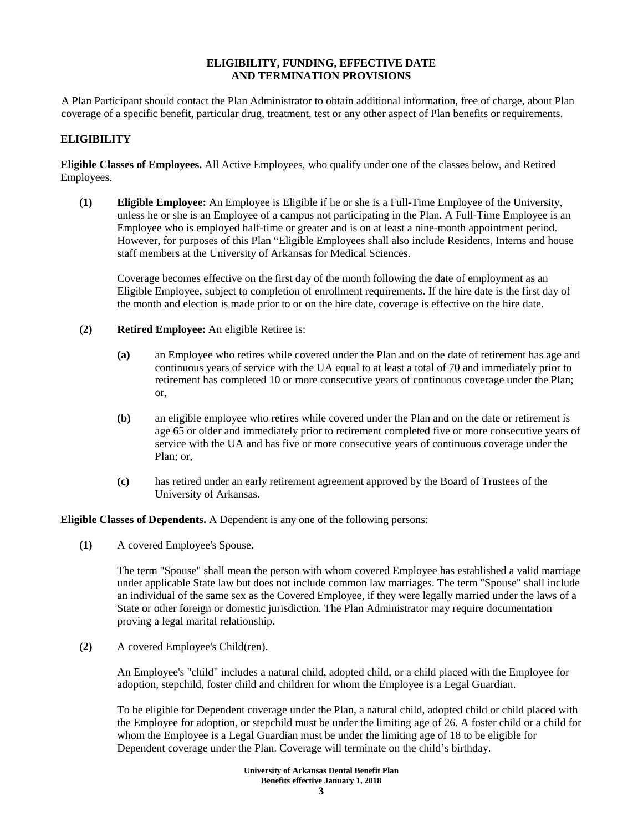### **ELIGIBILITY, FUNDING, EFFECTIVE DATE AND TERMINATION PROVISIONS**

A Plan Participant should contact the Plan Administrator to obtain additional information, free of charge, about Plan coverage of a specific benefit, particular drug, treatment, test or any other aspect of Plan benefits or requirements.

# **ELIGIBILITY**

**Eligible Classes of Employees.** All Active Employees, who qualify under one of the classes below, and Retired Employees.

**(1) Eligible Employee:** An Employee is Eligible if he or she is a Full-Time Employee of the University, unless he or she is an Employee of a campus not participating in the Plan. A Full-Time Employee is an Employee who is employed half-time or greater and is on at least a nine-month appointment period. However, for purposes of this Plan "Eligible Employees shall also include Residents, Interns and house staff members at the University of Arkansas for Medical Sciences.

Coverage becomes effective on the first day of the month following the date of employment as an Eligible Employee, subject to completion of enrollment requirements. If the hire date is the first day of the month and election is made prior to or on the hire date, coverage is effective on the hire date.

- **(2) Retired Employee:** An eligible Retiree is:
	- **(a)** an Employee who retires while covered under the Plan and on the date of retirement has age and continuous years of service with the UA equal to at least a total of 70 and immediately prior to retirement has completed 10 or more consecutive years of continuous coverage under the Plan; or,
	- **(b)** an eligible employee who retires while covered under the Plan and on the date or retirement is age 65 or older and immediately prior to retirement completed five or more consecutive years of service with the UA and has five or more consecutive years of continuous coverage under the Plan; or,
	- **(c)** has retired under an early retirement agreement approved by the Board of Trustees of the University of Arkansas.

**Eligible Classes of Dependents.** A Dependent is any one of the following persons:

**(1)** A covered Employee's Spouse.

The term "Spouse" shall mean the person with whom covered Employee has established a valid marriage under applicable State law but does not include common law marriages. The term "Spouse" shall include an individual of the same sex as the Covered Employee, if they were legally married under the laws of a State or other foreign or domestic jurisdiction. The Plan Administrator may require documentation proving a legal marital relationship.

**(2)** A covered Employee's Child(ren).

An Employee's "child" includes a natural child, adopted child, or a child placed with the Employee for adoption, stepchild, foster child and children for whom the Employee is a Legal Guardian.

To be eligible for Dependent coverage under the Plan, a natural child, adopted child or child placed with the Employee for adoption, or stepchild must be under the limiting age of 26. A foster child or a child for whom the Employee is a Legal Guardian must be under the limiting age of 18 to be eligible for Dependent coverage under the Plan. Coverage will terminate on the child's birthday.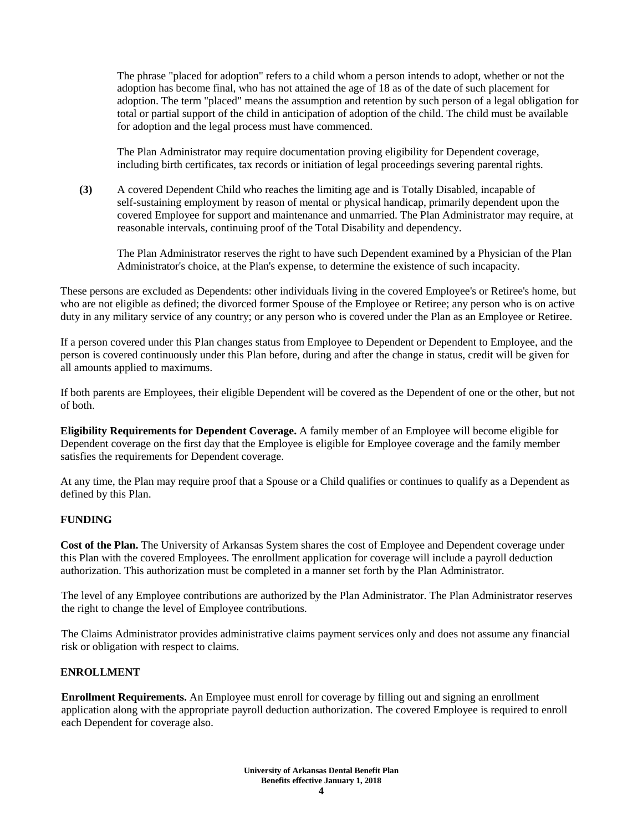The phrase "placed for adoption" refers to a child whom a person intends to adopt, whether or not the adoption has become final, who has not attained the age of 18 as of the date of such placement for adoption. The term "placed" means the assumption and retention by such person of a legal obligation for total or partial support of the child in anticipation of adoption of the child. The child must be available for adoption and the legal process must have commenced.

The Plan Administrator may require documentation proving eligibility for Dependent coverage, including birth certificates, tax records or initiation of legal proceedings severing parental rights.

**(3)** A covered Dependent Child who reaches the limiting age and is Totally Disabled, incapable of self-sustaining employment by reason of mental or physical handicap, primarily dependent upon the covered Employee for support and maintenance and unmarried. The Plan Administrator may require, at reasonable intervals, continuing proof of the Total Disability and dependency.

The Plan Administrator reserves the right to have such Dependent examined by a Physician of the Plan Administrator's choice, at the Plan's expense, to determine the existence of such incapacity.

These persons are excluded as Dependents: other individuals living in the covered Employee's or Retiree's home, but who are not eligible as defined; the divorced former Spouse of the Employee or Retiree; any person who is on active duty in any military service of any country; or any person who is covered under the Plan as an Employee or Retiree.

If a person covered under this Plan changes status from Employee to Dependent or Dependent to Employee, and the person is covered continuously under this Plan before, during and after the change in status, credit will be given for all amounts applied to maximums.

If both parents are Employees, their eligible Dependent will be covered as the Dependent of one or the other, but not of both.

**Eligibility Requirements for Dependent Coverage.** A family member of an Employee will become eligible for Dependent coverage on the first day that the Employee is eligible for Employee coverage and the family member satisfies the requirements for Dependent coverage.

At any time, the Plan may require proof that a Spouse or a Child qualifies or continues to qualify as a Dependent as defined by this Plan.

# **FUNDING**

**Cost of the Plan.** The University of Arkansas System shares the cost of Employee and Dependent coverage under this Plan with the covered Employees. The enrollment application for coverage will include a payroll deduction authorization. This authorization must be completed in a manner set forth by the Plan Administrator.

The level of any Employee contributions are authorized by the Plan Administrator. The Plan Administrator reserves the right to change the level of Employee contributions.

The Claims Administrator provides administrative claims payment services only and does not assume any financial risk or obligation with respect to claims.

# **ENROLLMENT**

**Enrollment Requirements.** An Employee must enroll for coverage by filling out and signing an enrollment application along with the appropriate payroll deduction authorization. The covered Employee is required to enroll each Dependent for coverage also.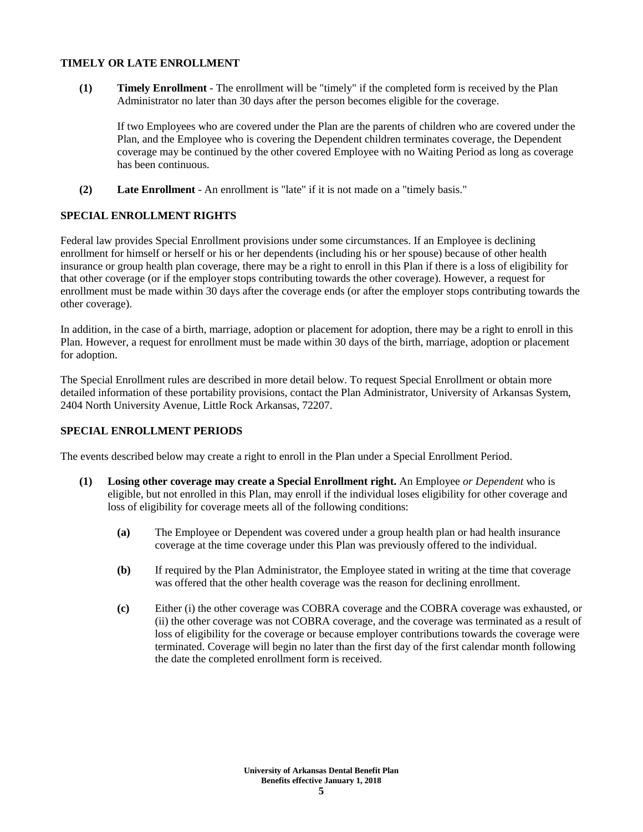#### **TIMELY OR LATE ENROLLMENT**

**(1) Timely Enrollment** - The enrollment will be "timely" if the completed form is received by the Plan Administrator no later than 30 days after the person becomes eligible for the coverage.

If two Employees who are covered under the Plan are the parents of children who are covered under the Plan, and the Employee who is covering the Dependent children terminates coverage, the Dependent coverage may be continued by the other covered Employee with no Waiting Period as long as coverage has been continuous.

**(2) Late Enrollment** - An enrollment is "late" if it is not made on a "timely basis."

# **SPECIAL ENROLLMENT RIGHTS**

Federal law provides Special Enrollment provisions under some circumstances. If an Employee is declining enrollment for himself or herself or his or her dependents (including his or her spouse) because of other health insurance or group health plan coverage, there may be a right to enroll in this Plan if there is a loss of eligibility for that other coverage (or if the employer stops contributing towards the other coverage). However, a request for enrollment must be made within 30 days after the coverage ends (or after the employer stops contributing towards the other coverage).

In addition, in the case of a birth, marriage, adoption or placement for adoption, there may be a right to enroll in this Plan. However, a request for enrollment must be made within 30 days of the birth, marriage, adoption or placement for adoption.

The Special Enrollment rules are described in more detail below. To request Special Enrollment or obtain more detailed information of these portability provisions, contact the Plan Administrator, University of Arkansas System, 2404 North University Avenue, Little Rock Arkansas, 72207.

# **SPECIAL ENROLLMENT PERIODS**

The events described below may create a right to enroll in the Plan under a Special Enrollment Period.

- **(1) Losing other coverage may create a Special Enrollment right.** An Employee *or Dependent* who is eligible, but not enrolled in this Plan, may enroll if the individual loses eligibility for other coverage and loss of eligibility for coverage meets all of the following conditions:
	- **(a)** The Employee or Dependent was covered under a group health plan or had health insurance coverage at the time coverage under this Plan was previously offered to the individual.
	- **(b)** If required by the Plan Administrator, the Employee stated in writing at the time that coverage was offered that the other health coverage was the reason for declining enrollment.
	- **(c)** Either (i) the other coverage was COBRA coverage and the COBRA coverage was exhausted, or (ii) the other coverage was not COBRA coverage, and the coverage was terminated as a result of loss of eligibility for the coverage or because employer contributions towards the coverage were terminated. Coverage will begin no later than the first day of the first calendar month following the date the completed enrollment form is received.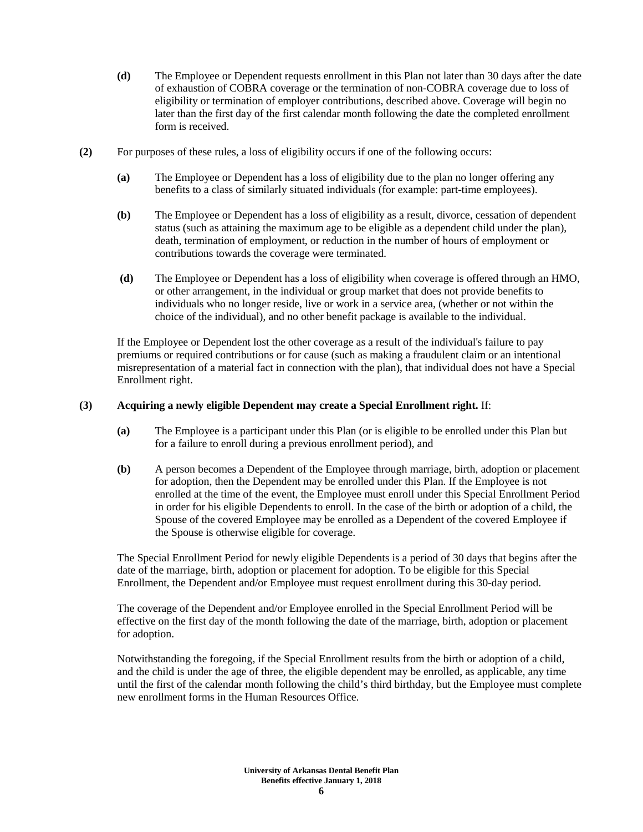- **(d)** The Employee or Dependent requests enrollment in this Plan not later than 30 days after the date of exhaustion of COBRA coverage or the termination of non-COBRA coverage due to loss of eligibility or termination of employer contributions, described above. Coverage will begin no later than the first day of the first calendar month following the date the completed enrollment form is received.
- **(2)** For purposes of these rules, a loss of eligibility occurs if one of the following occurs:
	- **(a)** The Employee or Dependent has a loss of eligibility due to the plan no longer offering any benefits to a class of similarly situated individuals (for example: part-time employees).
	- **(b)** The Employee or Dependent has a loss of eligibility as a result, divorce, cessation of dependent status (such as attaining the maximum age to be eligible as a dependent child under the plan), death, termination of employment, or reduction in the number of hours of employment or contributions towards the coverage were terminated.
	- **(d)** The Employee or Dependent has a loss of eligibility when coverage is offered through an HMO, or other arrangement, in the individual or group market that does not provide benefits to individuals who no longer reside, live or work in a service area, (whether or not within the choice of the individual), and no other benefit package is available to the individual.

If the Employee or Dependent lost the other coverage as a result of the individual's failure to pay premiums or required contributions or for cause (such as making a fraudulent claim or an intentional misrepresentation of a material fact in connection with the plan), that individual does not have a Special Enrollment right.

### **(3) Acquiring a newly eligible Dependent may create a Special Enrollment right.** If:

- **(a)** The Employee is a participant under this Plan (or is eligible to be enrolled under this Plan but for a failure to enroll during a previous enrollment period), and
- **(b)** A person becomes a Dependent of the Employee through marriage, birth, adoption or placement for adoption, then the Dependent may be enrolled under this Plan. If the Employee is not enrolled at the time of the event, the Employee must enroll under this Special Enrollment Period in order for his eligible Dependents to enroll. In the case of the birth or adoption of a child, the Spouse of the covered Employee may be enrolled as a Dependent of the covered Employee if the Spouse is otherwise eligible for coverage.

The Special Enrollment Period for newly eligible Dependents is a period of 30 days that begins after the date of the marriage, birth, adoption or placement for adoption. To be eligible for this Special Enrollment, the Dependent and/or Employee must request enrollment during this 30-day period.

The coverage of the Dependent and/or Employee enrolled in the Special Enrollment Period will be effective on the first day of the month following the date of the marriage, birth, adoption or placement for adoption.

Notwithstanding the foregoing, if the Special Enrollment results from the birth or adoption of a child, and the child is under the age of three, the eligible dependent may be enrolled, as applicable, any time until the first of the calendar month following the child's third birthday, but the Employee must complete new enrollment forms in the Human Resources Office.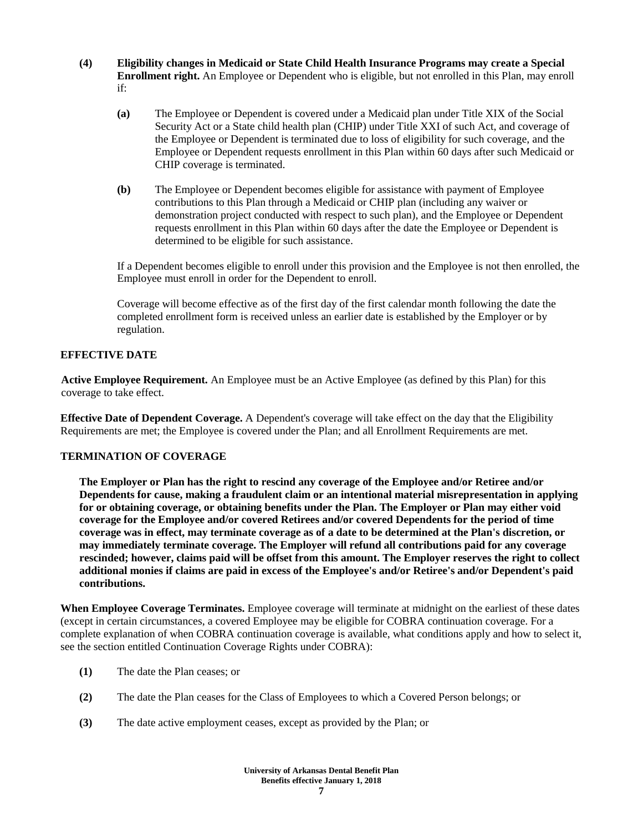- **(4) Eligibility changes in Medicaid or State Child Health Insurance Programs may create a Special Enrollment right.** An Employee or Dependent who is eligible, but not enrolled in this Plan, may enroll if:
	- **(a)** The Employee or Dependent is covered under a Medicaid plan under Title XIX of the Social Security Act or a State child health plan (CHIP) under Title XXI of such Act, and coverage of the Employee or Dependent is terminated due to loss of eligibility for such coverage, and the Employee or Dependent requests enrollment in this Plan within 60 days after such Medicaid or CHIP coverage is terminated.
	- **(b)** The Employee or Dependent becomes eligible for assistance with payment of Employee contributions to this Plan through a Medicaid or CHIP plan (including any waiver or demonstration project conducted with respect to such plan), and the Employee or Dependent requests enrollment in this Plan within 60 days after the date the Employee or Dependent is determined to be eligible for such assistance.

If a Dependent becomes eligible to enroll under this provision and the Employee is not then enrolled, the Employee must enroll in order for the Dependent to enroll.

Coverage will become effective as of the first day of the first calendar month following the date the completed enrollment form is received unless an earlier date is established by the Employer or by regulation.

# **EFFECTIVE DATE**

**Active Employee Requirement.** An Employee must be an Active Employee (as defined by this Plan) for this coverage to take effect.

**Effective Date of Dependent Coverage.** A Dependent's coverage will take effect on the day that the Eligibility Requirements are met; the Employee is covered under the Plan; and all Enrollment Requirements are met.

# **TERMINATION OF COVERAGE**

**The Employer or Plan has the right to rescind any coverage of the Employee and/or Retiree and/or Dependents for cause, making a fraudulent claim or an intentional material misrepresentation in applying for or obtaining coverage, or obtaining benefits under the Plan. The Employer or Plan may either void coverage for the Employee and/or covered Retirees and/or covered Dependents for the period of time coverage was in effect, may terminate coverage as of a date to be determined at the Plan's discretion, or may immediately terminate coverage. The Employer will refund all contributions paid for any coverage rescinded; however, claims paid will be offset from this amount. The Employer reserves the right to collect additional monies if claims are paid in excess of the Employee's and/or Retiree's and/or Dependent's paid contributions.**

**When Employee Coverage Terminates.** Employee coverage will terminate at midnight on the earliest of these dates (except in certain circumstances, a covered Employee may be eligible for COBRA continuation coverage. For a complete explanation of when COBRA continuation coverage is available, what conditions apply and how to select it, see the section entitled Continuation Coverage Rights under COBRA):

- **(1)** The date the Plan ceases; or
- **(2)** The date the Plan ceases for the Class of Employees to which a Covered Person belongs; or
- **(3)** The date active employment ceases, except as provided by the Plan; or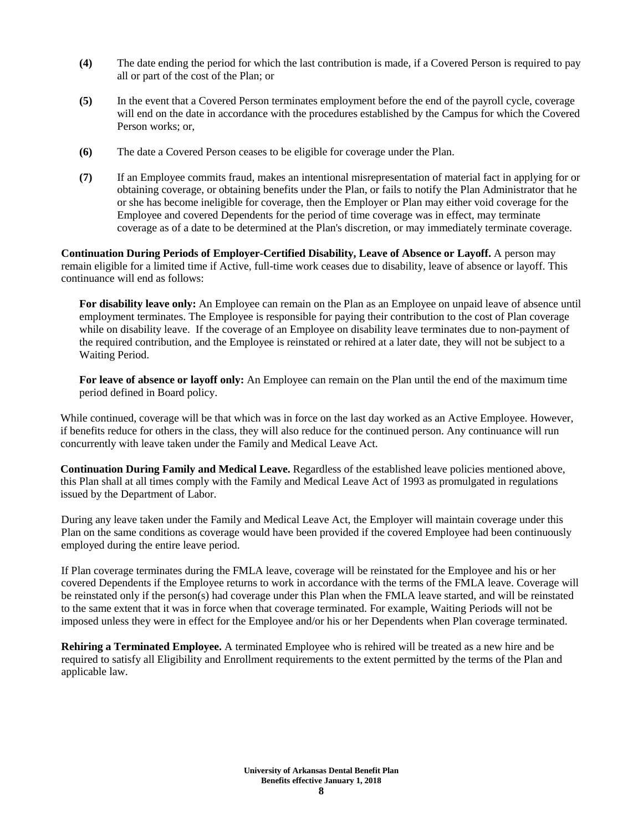- **(4)** The date ending the period for which the last contribution is made, if a Covered Person is required to pay all or part of the cost of the Plan; or
- **(5)** In the event that a Covered Person terminates employment before the end of the payroll cycle, coverage will end on the date in accordance with the procedures established by the Campus for which the Covered Person works; or,
- **(6)** The date a Covered Person ceases to be eligible for coverage under the Plan.
- **(7)** If an Employee commits fraud, makes an intentional misrepresentation of material fact in applying for or obtaining coverage, or obtaining benefits under the Plan, or fails to notify the Plan Administrator that he or she has become ineligible for coverage, then the Employer or Plan may either void coverage for the Employee and covered Dependents for the period of time coverage was in effect, may terminate coverage as of a date to be determined at the Plan's discretion, or may immediately terminate coverage.

**Continuation During Periods of Employer-Certified Disability, Leave of Absence or Layoff.** A person may remain eligible for a limited time if Active, full-time work ceases due to disability, leave of absence or layoff. This continuance will end as follows:

**For disability leave only:** An Employee can remain on the Plan as an Employee on unpaid leave of absence until employment terminates. The Employee is responsible for paying their contribution to the cost of Plan coverage while on disability leave. If the coverage of an Employee on disability leave terminates due to non-payment of the required contribution, and the Employee is reinstated or rehired at a later date, they will not be subject to a Waiting Period.

**For leave of absence or layoff only:** An Employee can remain on the Plan until the end of the maximum time period defined in Board policy.

While continued, coverage will be that which was in force on the last day worked as an Active Employee. However, if benefits reduce for others in the class, they will also reduce for the continued person. Any continuance will run concurrently with leave taken under the Family and Medical Leave Act.

**Continuation During Family and Medical Leave.** Regardless of the established leave policies mentioned above, this Plan shall at all times comply with the Family and Medical Leave Act of 1993 as promulgated in regulations issued by the Department of Labor.

During any leave taken under the Family and Medical Leave Act, the Employer will maintain coverage under this Plan on the same conditions as coverage would have been provided if the covered Employee had been continuously employed during the entire leave period.

If Plan coverage terminates during the FMLA leave, coverage will be reinstated for the Employee and his or her covered Dependents if the Employee returns to work in accordance with the terms of the FMLA leave. Coverage will be reinstated only if the person(s) had coverage under this Plan when the FMLA leave started, and will be reinstated to the same extent that it was in force when that coverage terminated. For example, Waiting Periods will not be imposed unless they were in effect for the Employee and/or his or her Dependents when Plan coverage terminated.

**Rehiring a Terminated Employee.** A terminated Employee who is rehired will be treated as a new hire and be required to satisfy all Eligibility and Enrollment requirements to the extent permitted by the terms of the Plan and applicable law.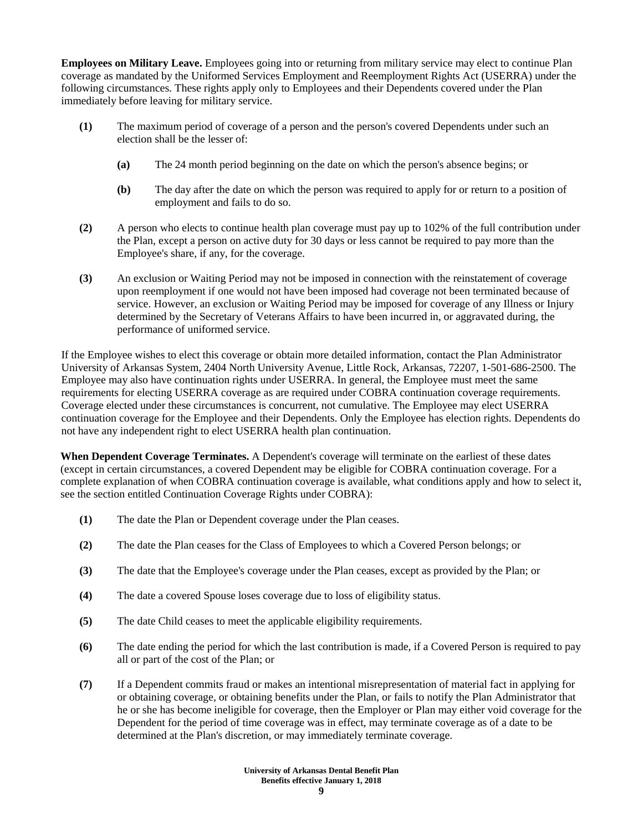**Employees on Military Leave.** Employees going into or returning from military service may elect to continue Plan coverage as mandated by the Uniformed Services Employment and Reemployment Rights Act (USERRA) under the following circumstances. These rights apply only to Employees and their Dependents covered under the Plan immediately before leaving for military service.

- **(1)** The maximum period of coverage of a person and the person's covered Dependents under such an election shall be the lesser of:
	- **(a)** The 24 month period beginning on the date on which the person's absence begins; or
	- **(b)** The day after the date on which the person was required to apply for or return to a position of employment and fails to do so.
- **(2)** A person who elects to continue health plan coverage must pay up to 102% of the full contribution under the Plan, except a person on active duty for 30 days or less cannot be required to pay more than the Employee's share, if any, for the coverage.
- **(3)** An exclusion or Waiting Period may not be imposed in connection with the reinstatement of coverage upon reemployment if one would not have been imposed had coverage not been terminated because of service. However, an exclusion or Waiting Period may be imposed for coverage of any Illness or Injury determined by the Secretary of Veterans Affairs to have been incurred in, or aggravated during, the performance of uniformed service.

If the Employee wishes to elect this coverage or obtain more detailed information, contact the Plan Administrator University of Arkansas System, 2404 North University Avenue, Little Rock, Arkansas, 72207, 1-501-686-2500. The Employee may also have continuation rights under USERRA. In general, the Employee must meet the same requirements for electing USERRA coverage as are required under COBRA continuation coverage requirements. Coverage elected under these circumstances is concurrent, not cumulative. The Employee may elect USERRA continuation coverage for the Employee and their Dependents. Only the Employee has election rights. Dependents do not have any independent right to elect USERRA health plan continuation.

**When Dependent Coverage Terminates.** A Dependent's coverage will terminate on the earliest of these dates (except in certain circumstances, a covered Dependent may be eligible for COBRA continuation coverage. For a complete explanation of when COBRA continuation coverage is available, what conditions apply and how to select it, see the section entitled Continuation Coverage Rights under COBRA):

- **(1)** The date the Plan or Dependent coverage under the Plan ceases.
- **(2)** The date the Plan ceases for the Class of Employees to which a Covered Person belongs; or
- **(3)** The date that the Employee's coverage under the Plan ceases, except as provided by the Plan; or
- **(4)** The date a covered Spouse loses coverage due to loss of eligibility status.
- **(5)** The date Child ceases to meet the applicable eligibility requirements.
- **(6)** The date ending the period for which the last contribution is made, if a Covered Person is required to pay all or part of the cost of the Plan; or
- **(7)** If a Dependent commits fraud or makes an intentional misrepresentation of material fact in applying for or obtaining coverage, or obtaining benefits under the Plan, or fails to notify the Plan Administrator that he or she has become ineligible for coverage, then the Employer or Plan may either void coverage for the Dependent for the period of time coverage was in effect, may terminate coverage as of a date to be determined at the Plan's discretion, or may immediately terminate coverage.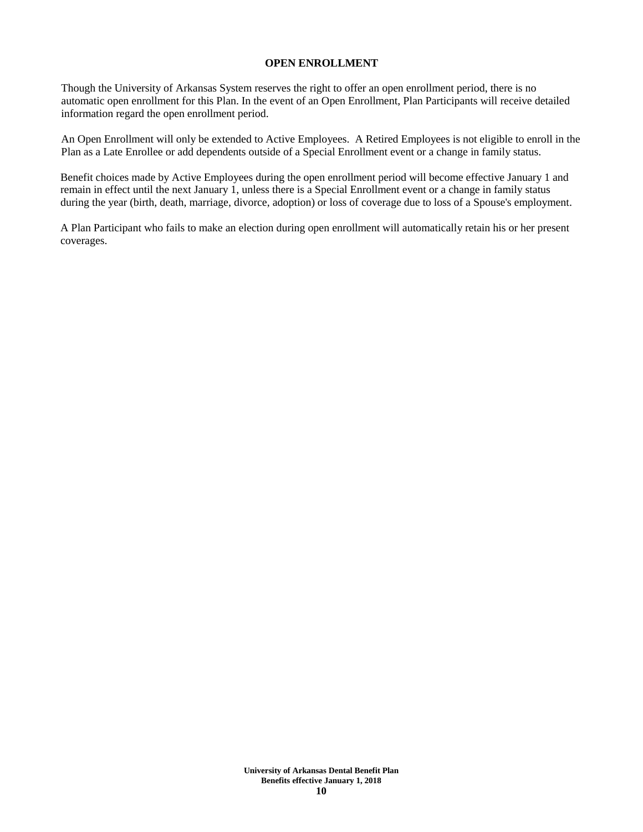#### **OPEN ENROLLMENT**

Though the University of Arkansas System reserves the right to offer an open enrollment period, there is no automatic open enrollment for this Plan. In the event of an Open Enrollment, Plan Participants will receive detailed information regard the open enrollment period.

An Open Enrollment will only be extended to Active Employees. A Retired Employees is not eligible to enroll in the Plan as a Late Enrollee or add dependents outside of a Special Enrollment event or a change in family status.

Benefit choices made by Active Employees during the open enrollment period will become effective January 1 and remain in effect until the next January 1, unless there is a Special Enrollment event or a change in family status during the year (birth, death, marriage, divorce, adoption) or loss of coverage due to loss of a Spouse's employment.

A Plan Participant who fails to make an election during open enrollment will automatically retain his or her present coverages.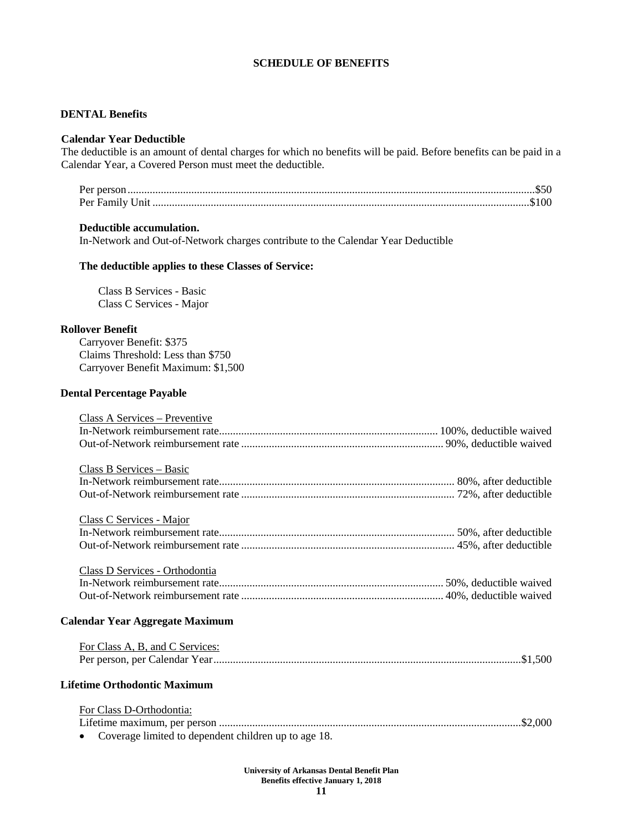### **SCHEDULE OF BENEFITS**

### **DENTAL Benefits**

#### **Calendar Year Deductible**

The deductible is an amount of dental charges for which no benefits will be paid. Before benefits can be paid in a Calendar Year, a Covered Person must meet the deductible.

#### **Deductible accumulation.**

In-Network and Out-of-Network charges contribute to the Calendar Year Deductible

#### **The deductible applies to these Classes of Service:**

Class B Services - Basic Class C Services - Major

#### **Rollover Benefit**

Carryover Benefit: \$375 Claims Threshold: Less than \$750 Carryover Benefit Maximum: \$1,500

### **Dental Percentage Payable**

| Class A Services - Preventive                                                                |  |
|----------------------------------------------------------------------------------------------|--|
|                                                                                              |  |
|                                                                                              |  |
| Class B Services - Basic                                                                     |  |
|                                                                                              |  |
|                                                                                              |  |
|                                                                                              |  |
| Class C Services - Major                                                                     |  |
|                                                                                              |  |
|                                                                                              |  |
|                                                                                              |  |
| Class D Services - Orthodontia                                                               |  |
|                                                                                              |  |
|                                                                                              |  |
| <b>Calendar Year Aggregate Maximum</b>                                                       |  |
|                                                                                              |  |
| For Class A, B, and C Services:                                                              |  |
|                                                                                              |  |
|                                                                                              |  |
| <b>Lifetime Orthodontic Maximum</b>                                                          |  |
|                                                                                              |  |
| For Class D-Orthodontia:                                                                     |  |
|                                                                                              |  |
| $\alpha$ . Converges the light of the discussion of the light state of the state of $\alpha$ |  |

• Coverage limited to dependent children up to age 18.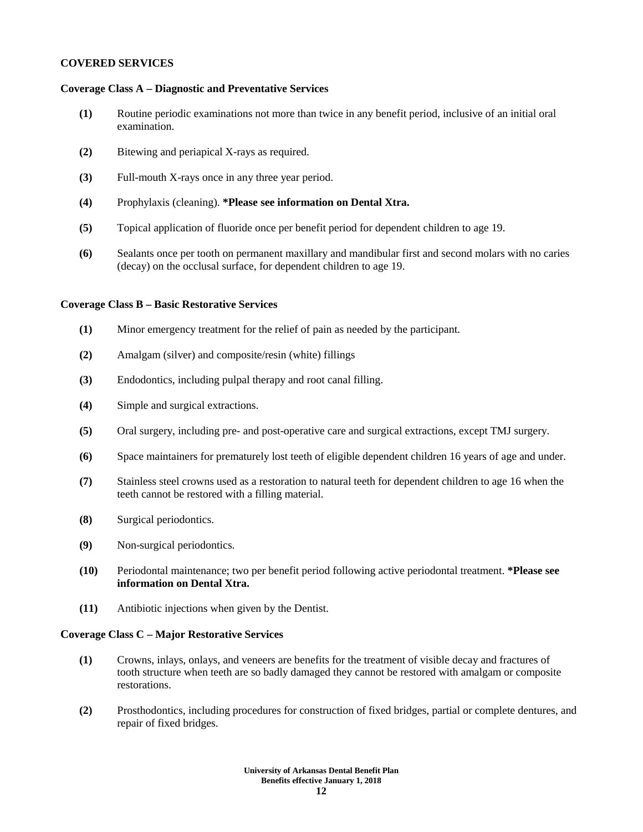#### **COVERED SERVICES**

#### **Coverage Class A – Diagnostic and Preventative Services**

- **(1)** Routine periodic examinations not more than twice in any benefit period, inclusive of an initial oral examination.
- **(2)** Bitewing and periapical X-rays as required.
- **(3)** Full-mouth X-rays once in any three year period.
- **(4)** Prophylaxis (cleaning). **\*Please see information on Dental Xtra.**
- **(5)** Topical application of fluoride once per benefit period for dependent children to age 19.
- **(6)** Sealants once per tooth on permanent maxillary and mandibular first and second molars with no caries (decay) on the occlusal surface, for dependent children to age 19.

#### **Coverage Class B – Basic Restorative Services**

- **(1)** Minor emergency treatment for the relief of pain as needed by the participant.
- **(2)** Amalgam (silver) and composite/resin (white) fillings
- **(3)** Endodontics, including pulpal therapy and root canal filling.
- **(4)** Simple and surgical extractions.
- **(5)** Oral surgery, including pre- and post-operative care and surgical extractions, except TMJ surgery.
- **(6)** Space maintainers for prematurely lost teeth of eligible dependent children 16 years of age and under.
- **(7)** Stainless steel crowns used as a restoration to natural teeth for dependent children to age 16 when the teeth cannot be restored with a filling material.
- **(8)** Surgical periodontics.
- **(9)** Non-surgical periodontics.
- **(10)** Periodontal maintenance; two per benefit period following active periodontal treatment. **\*Please see information on Dental Xtra.**
- **(11)** Antibiotic injections when given by the Dentist.

#### **Coverage Class C – Major Restorative Services**

- **(1)** Crowns, inlays, onlays, and veneers are benefits for the treatment of visible decay and fractures of tooth structure when teeth are so badly damaged they cannot be restored with amalgam or composite restorations.
- **(2)** Prosthodontics, including procedures for construction of fixed bridges, partial or complete dentures, and repair of fixed bridges.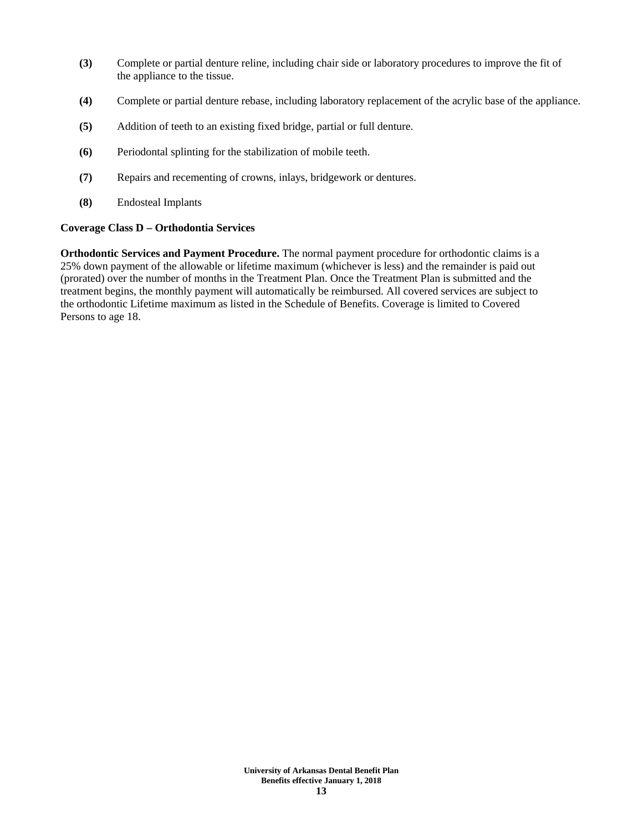- **(3)** Complete or partial denture reline, including chair side or laboratory procedures to improve the fit of the appliance to the tissue.
- **(4)** Complete or partial denture rebase, including laboratory replacement of the acrylic base of the appliance.
- **(5)** Addition of teeth to an existing fixed bridge, partial or full denture.
- **(6)** Periodontal splinting for the stabilization of mobile teeth.
- **(7)** Repairs and recementing of crowns, inlays, bridgework or dentures.
- **(8)** Endosteal Implants

### **Coverage Class D – Orthodontia Services**

**Orthodontic Services and Payment Procedure.** The normal payment procedure for orthodontic claims is a 25% down payment of the allowable or lifetime maximum (whichever is less) and the remainder is paid out (prorated) over the number of months in the Treatment Plan. Once the Treatment Plan is submitted and the treatment begins, the monthly payment will automatically be reimbursed. All covered services are subject to the orthodontic Lifetime maximum as listed in the Schedule of Benefits. Coverage is limited to Covered Persons to age 18.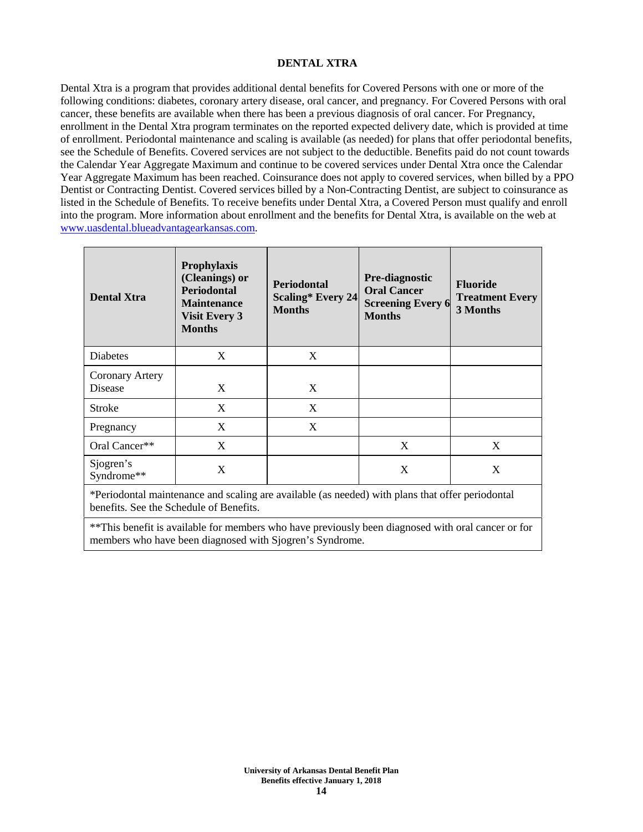# **DENTAL XTRA**

Dental Xtra is a program that provides additional dental benefits for Covered Persons with one or more of the following conditions: diabetes, coronary artery disease, oral cancer, and pregnancy. For Covered Persons with oral cancer, these benefits are available when there has been a previous diagnosis of oral cancer. For Pregnancy, enrollment in the Dental Xtra program terminates on the reported expected delivery date, which is provided at time of enrollment. Periodontal maintenance and scaling is available (as needed) for plans that offer periodontal benefits, see the Schedule of Benefits. Covered services are not subject to the deductible. Benefits paid do not count towards the Calendar Year Aggregate Maximum and continue to be covered services under Dental Xtra once the Calendar Year Aggregate Maximum has been reached. Coinsurance does not apply to covered services, when billed by a PPO Dentist or Contracting Dentist. Covered services billed by a Non-Contracting Dentist, are subject to coinsurance as listed in the Schedule of Benefits. To receive benefits under Dental Xtra, a Covered Person must qualify and enroll into the program. More information about enrollment and the benefits for Dental Xtra, is available on the web at [www.uasdental.blueadvantagearkansas.com.](http://www.uasdental.blueadvantagearkansas.com/)

| <b>Dental Xtra</b>                       | Prophylaxis<br>(Cleanings) or<br><b>Periodontal</b><br><b>Maintenance</b><br><b>Visit Every 3</b><br><b>Months</b> | <b>Periodontal</b><br><b>Scaling* Every 24</b><br><b>Months</b> | <b>Pre-diagnostic</b><br><b>Oral Cancer</b><br><b>Screening Every 6</b><br><b>Months</b> | <b>Fluoride</b><br><b>Treatment Every</b><br>3 Months |
|------------------------------------------|--------------------------------------------------------------------------------------------------------------------|-----------------------------------------------------------------|------------------------------------------------------------------------------------------|-------------------------------------------------------|
| Diabetes                                 | X                                                                                                                  | X                                                               |                                                                                          |                                                       |
| <b>Coronary Artery</b><br><b>Disease</b> | X                                                                                                                  | X                                                               |                                                                                          |                                                       |
| Stroke                                   | X                                                                                                                  | X                                                               |                                                                                          |                                                       |
| Pregnancy                                | X                                                                                                                  | X                                                               |                                                                                          |                                                       |
| Oral Cancer**                            | X                                                                                                                  |                                                                 | X                                                                                        | X                                                     |
| Sjogren's<br>Syndrome**                  | X                                                                                                                  |                                                                 | X                                                                                        | X                                                     |

\*Periodontal maintenance and scaling are available (as needed) with plans that offer periodontal benefits. See the Schedule of Benefits.

\*\*This benefit is available for members who have previously been diagnosed with oral cancer or for members who have been diagnosed with Sjogren's Syndrome.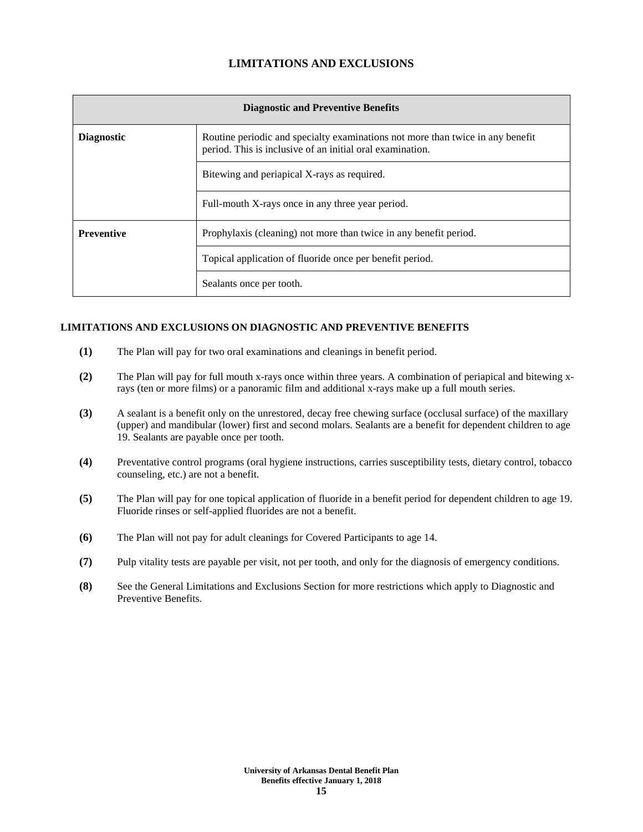# **LIMITATIONS AND EXCLUSIONS**

| <b>Diagnostic and Preventive Benefits</b> |                                                                                                                                             |  |
|-------------------------------------------|---------------------------------------------------------------------------------------------------------------------------------------------|--|
| <b>Diagnostic</b>                         | Routine periodic and specialty examinations not more than twice in any benefit<br>period. This is inclusive of an initial oral examination. |  |
|                                           | Bitewing and periapical X-rays as required.                                                                                                 |  |
|                                           | Full-mouth X-rays once in any three year period.                                                                                            |  |
| <b>Preventive</b>                         | Prophylaxis (cleaning) not more than twice in any benefit period.                                                                           |  |
|                                           | Topical application of fluoride once per benefit period.                                                                                    |  |
|                                           | Sealants once per tooth.                                                                                                                    |  |

### **LIMITATIONS AND EXCLUSIONS ON DIAGNOSTIC AND PREVENTIVE BENEFITS**

- **(1)** The Plan will pay for two oral examinations and cleanings in benefit period.
- **(2)** The Plan will pay for full mouth x-rays once within three years. A combination of periapical and bitewing xrays (ten or more films) or a panoramic film and additional x-rays make up a full mouth series.
- **(3)** A sealant is a benefit only on the unrestored, decay free chewing surface (occlusal surface) of the maxillary (upper) and mandibular (lower) first and second molars. Sealants are a benefit for dependent children to age 19. Sealants are payable once per tooth.
- **(4)** Preventative control programs (oral hygiene instructions, carries susceptibility tests, dietary control, tobacco counseling, etc.) are not a benefit.
- **(5)** The Plan will pay for one topical application of fluoride in a benefit period for dependent children to age 19. Fluoride rinses or self-applied fluorides are not a benefit.
- **(6)** The Plan will not pay for adult cleanings for Covered Participants to age 14.
- **(7)** Pulp vitality tests are payable per visit, not per tooth, and only for the diagnosis of emergency conditions.
- **(8)** See the General Limitations and Exclusions Section for more restrictions which apply to Diagnostic and Preventive Benefits.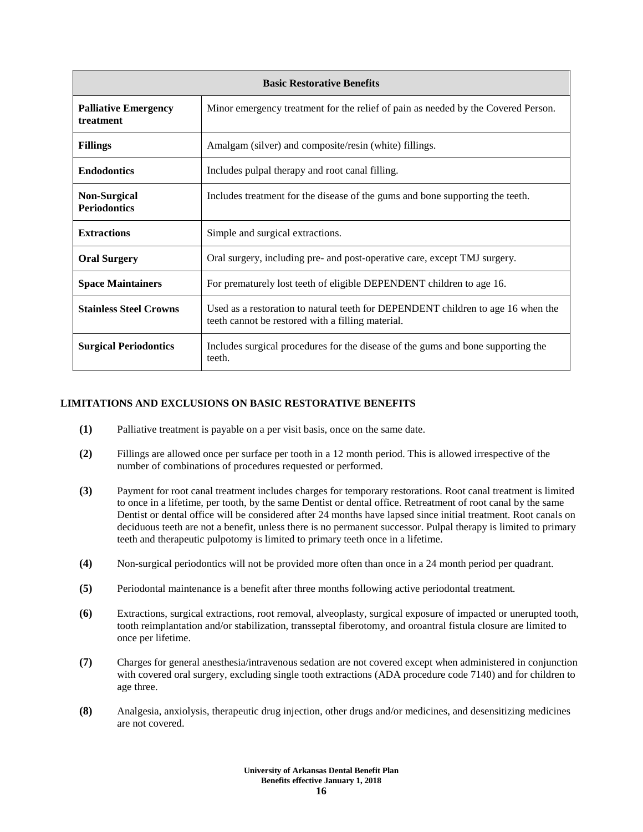| <b>Basic Restorative Benefits</b>          |                                                                                                                                       |  |  |  |
|--------------------------------------------|---------------------------------------------------------------------------------------------------------------------------------------|--|--|--|
| <b>Palliative Emergency</b><br>treatment   | Minor emergency treatment for the relief of pain as needed by the Covered Person.                                                     |  |  |  |
| <b>Fillings</b>                            | Amalgam (silver) and composite/resin (white) fillings.                                                                                |  |  |  |
| <b>Endodontics</b>                         | Includes pulpal therapy and root canal filling.                                                                                       |  |  |  |
| <b>Non-Surgical</b><br><b>Periodontics</b> | Includes treatment for the disease of the gums and bone supporting the teeth.                                                         |  |  |  |
| <b>Extractions</b>                         | Simple and surgical extractions.                                                                                                      |  |  |  |
| <b>Oral Surgery</b>                        | Oral surgery, including pre- and post-operative care, except TMJ surgery.                                                             |  |  |  |
| <b>Space Maintainers</b>                   | For prematurely lost teeth of eligible DEPENDENT children to age 16.                                                                  |  |  |  |
| <b>Stainless Steel Crowns</b>              | Used as a restoration to natural teeth for DEPENDENT children to age 16 when the<br>teeth cannot be restored with a filling material. |  |  |  |
| <b>Surgical Periodontics</b>               | Includes surgical procedures for the disease of the gums and bone supporting the<br>teeth.                                            |  |  |  |

#### **LIMITATIONS AND EXCLUSIONS ON BASIC RESTORATIVE BENEFITS**

- **(1)** Palliative treatment is payable on a per visit basis, once on the same date.
- **(2)** Fillings are allowed once per surface per tooth in a 12 month period. This is allowed irrespective of the number of combinations of procedures requested or performed.
- **(3)** Payment for root canal treatment includes charges for temporary restorations. Root canal treatment is limited to once in a lifetime, per tooth, by the same Dentist or dental office. Retreatment of root canal by the same Dentist or dental office will be considered after 24 months have lapsed since initial treatment. Root canals on deciduous teeth are not a benefit, unless there is no permanent successor. Pulpal therapy is limited to primary teeth and therapeutic pulpotomy is limited to primary teeth once in a lifetime.
- **(4)** Non-surgical periodontics will not be provided more often than once in a 24 month period per quadrant.
- **(5)** Periodontal maintenance is a benefit after three months following active periodontal treatment.
- **(6)** Extractions, surgical extractions, root removal, alveoplasty, surgical exposure of impacted or unerupted tooth, tooth reimplantation and/or stabilization, transseptal fiberotomy, and oroantral fistula closure are limited to once per lifetime.
- **(7)** Charges for general anesthesia/intravenous sedation are not covered except when administered in conjunction with covered oral surgery, excluding single tooth extractions (ADA procedure code 7140) and for children to age three.
- **(8)** Analgesia, anxiolysis, therapeutic drug injection, other drugs and/or medicines, and desensitizing medicines are not covered.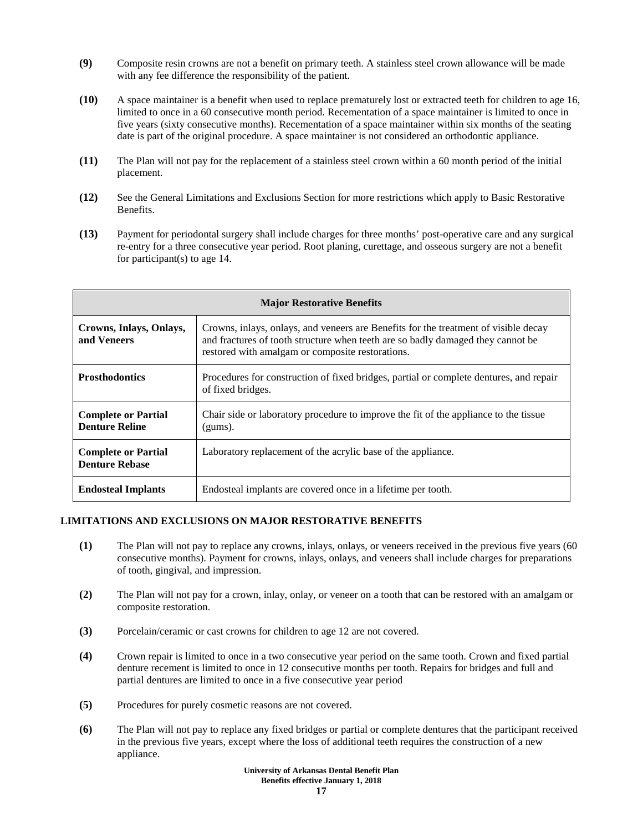- **(9)** Composite resin crowns are not a benefit on primary teeth. A stainless steel crown allowance will be made with any fee difference the responsibility of the patient.
- **(10)** A space maintainer is a benefit when used to replace prematurely lost or extracted teeth for children to age 16, limited to once in a 60 consecutive month period. Recementation of a space maintainer is limited to once in five years (sixty consecutive months). Recementation of a space maintainer within six months of the seating date is part of the original procedure. A space maintainer is not considered an orthodontic appliance.
- **(11)** The Plan will not pay for the replacement of a stainless steel crown within a 60 month period of the initial placement.
- **(12)** See the General Limitations and Exclusions Section for more restrictions which apply to Basic Restorative Benefits.
- **(13)** Payment for periodontal surgery shall include charges for three months' post-operative care and any surgical re-entry for a three consecutive year period. Root planing, curettage, and osseous surgery are not a benefit for participant(s) to age 14.

| <b>Major Restorative Benefits</b>                   |                                                                                                                                                                                                                            |  |  |  |
|-----------------------------------------------------|----------------------------------------------------------------------------------------------------------------------------------------------------------------------------------------------------------------------------|--|--|--|
| Crowns, Inlays, Onlays,<br>and Veneers              | Crowns, inlays, onlays, and veneers are Benefits for the treatment of visible decay<br>and fractures of tooth structure when teeth are so badly damaged they cannot be<br>restored with amalgam or composite restorations. |  |  |  |
| <b>Prosthodontics</b>                               | Procedures for construction of fixed bridges, partial or complete dentures, and repair<br>of fixed bridges.                                                                                                                |  |  |  |
| <b>Complete or Partial</b><br><b>Denture Reline</b> | Chair side or laboratory procedure to improve the fit of the appliance to the tissue<br>(gums).                                                                                                                            |  |  |  |
| <b>Complete or Partial</b><br><b>Denture Rebase</b> | Laboratory replacement of the acrylic base of the appliance.                                                                                                                                                               |  |  |  |
| <b>Endosteal Implants</b>                           | Endosteal implants are covered once in a lifetime per tooth.                                                                                                                                                               |  |  |  |

#### **LIMITATIONS AND EXCLUSIONS ON MAJOR RESTORATIVE BENEFITS**

- **(1)** The Plan will not pay to replace any crowns, inlays, onlays, or veneers received in the previous five years (60 consecutive months). Payment for crowns, inlays, onlays, and veneers shall include charges for preparations of tooth, gingival, and impression.
- **(2)** The Plan will not pay for a crown, inlay, onlay, or veneer on a tooth that can be restored with an amalgam or composite restoration.
- **(3)** Porcelain/ceramic or cast crowns for children to age 12 are not covered.
- **(4)** Crown repair is limited to once in a two consecutive year period on the same tooth. Crown and fixed partial denture recement is limited to once in 12 consecutive months per tooth. Repairs for bridges and full and partial dentures are limited to once in a five consecutive year period
- **(5)** Procedures for purely cosmetic reasons are not covered.
- **(6)** The Plan will not pay to replace any fixed bridges or partial or complete dentures that the participant received in the previous five years, except where the loss of additional teeth requires the construction of a new appliance.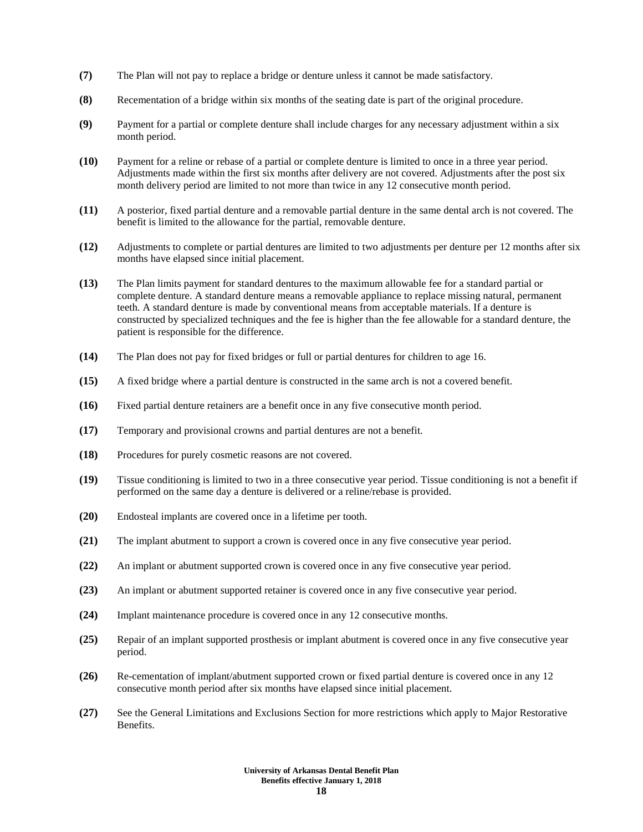- **(7)** The Plan will not pay to replace a bridge or denture unless it cannot be made satisfactory.
- **(8)** Recementation of a bridge within six months of the seating date is part of the original procedure.
- **(9)** Payment for a partial or complete denture shall include charges for any necessary adjustment within a six month period.
- **(10)** Payment for a reline or rebase of a partial or complete denture is limited to once in a three year period. Adjustments made within the first six months after delivery are not covered. Adjustments after the post six month delivery period are limited to not more than twice in any 12 consecutive month period.
- **(11)** A posterior, fixed partial denture and a removable partial denture in the same dental arch is not covered. The benefit is limited to the allowance for the partial, removable denture.
- **(12)** Adjustments to complete or partial dentures are limited to two adjustments per denture per 12 months after six months have elapsed since initial placement.
- **(13)** The Plan limits payment for standard dentures to the maximum allowable fee for a standard partial or complete denture. A standard denture means a removable appliance to replace missing natural, permanent teeth. A standard denture is made by conventional means from acceptable materials. If a denture is constructed by specialized techniques and the fee is higher than the fee allowable for a standard denture, the patient is responsible for the difference.
- **(14)** The Plan does not pay for fixed bridges or full or partial dentures for children to age 16.
- **(15)** A fixed bridge where a partial denture is constructed in the same arch is not a covered benefit.
- **(16)** Fixed partial denture retainers are a benefit once in any five consecutive month period.
- **(17)** Temporary and provisional crowns and partial dentures are not a benefit.
- **(18)** Procedures for purely cosmetic reasons are not covered.
- **(19)** Tissue conditioning is limited to two in a three consecutive year period. Tissue conditioning is not a benefit if performed on the same day a denture is delivered or a reline/rebase is provided.
- **(20)** Endosteal implants are covered once in a lifetime per tooth.
- **(21)** The implant abutment to support a crown is covered once in any five consecutive year period.
- **(22)** An implant or abutment supported crown is covered once in any five consecutive year period.
- **(23)** An implant or abutment supported retainer is covered once in any five consecutive year period.
- **(24)** Implant maintenance procedure is covered once in any 12 consecutive months.
- **(25)** Repair of an implant supported prosthesis or implant abutment is covered once in any five consecutive year period.
- **(26)** Re-cementation of implant/abutment supported crown or fixed partial denture is covered once in any 12 consecutive month period after six months have elapsed since initial placement.
- **(27)** See the General Limitations and Exclusions Section for more restrictions which apply to Major Restorative Benefits.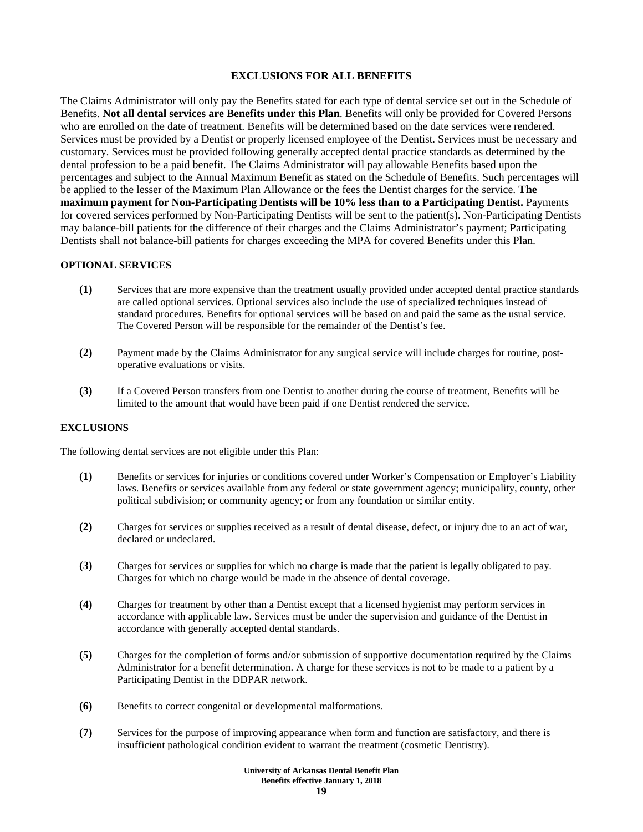### **EXCLUSIONS FOR ALL BENEFITS**

The Claims Administrator will only pay the Benefits stated for each type of dental service set out in the Schedule of Benefits. **Not all dental services are Benefits under this Plan**. Benefits will only be provided for Covered Persons who are enrolled on the date of treatment. Benefits will be determined based on the date services were rendered. Services must be provided by a Dentist or properly licensed employee of the Dentist. Services must be necessary and customary. Services must be provided following generally accepted dental practice standards as determined by the dental profession to be a paid benefit. The Claims Administrator will pay allowable Benefits based upon the percentages and subject to the Annual Maximum Benefit as stated on the Schedule of Benefits. Such percentages will be applied to the lesser of the Maximum Plan Allowance or the fees the Dentist charges for the service. **The maximum payment for Non-Participating Dentists will be 10% less than to a Participating Dentist.** Payments for covered services performed by Non-Participating Dentists will be sent to the patient(s). Non-Participating Dentists may balance-bill patients for the difference of their charges and the Claims Administrator's payment; Participating Dentists shall not balance-bill patients for charges exceeding the MPA for covered Benefits under this Plan.

#### **OPTIONAL SERVICES**

- **(1)** Services that are more expensive than the treatment usually provided under accepted dental practice standards are called optional services. Optional services also include the use of specialized techniques instead of standard procedures. Benefits for optional services will be based on and paid the same as the usual service. The Covered Person will be responsible for the remainder of the Dentist's fee.
- **(2)** Payment made by the Claims Administrator for any surgical service will include charges for routine, postoperative evaluations or visits.
- **(3)** If a Covered Person transfers from one Dentist to another during the course of treatment, Benefits will be limited to the amount that would have been paid if one Dentist rendered the service.

#### **EXCLUSIONS**

The following dental services are not eligible under this Plan:

- **(1)** Benefits or services for injuries or conditions covered under Worker's Compensation or Employer's Liability laws. Benefits or services available from any federal or state government agency; municipality, county, other political subdivision; or community agency; or from any foundation or similar entity.
- **(2)** Charges for services or supplies received as a result of dental disease, defect, or injury due to an act of war, declared or undeclared.
- **(3)** Charges for services or supplies for which no charge is made that the patient is legally obligated to pay. Charges for which no charge would be made in the absence of dental coverage.
- **(4)** Charges for treatment by other than a Dentist except that a licensed hygienist may perform services in accordance with applicable law. Services must be under the supervision and guidance of the Dentist in accordance with generally accepted dental standards.
- **(5)** Charges for the completion of forms and/or submission of supportive documentation required by the Claims Administrator for a benefit determination. A charge for these services is not to be made to a patient by a Participating Dentist in the DDPAR network.
- **(6)** Benefits to correct congenital or developmental malformations.
- **(7)** Services for the purpose of improving appearance when form and function are satisfactory, and there is insufficient pathological condition evident to warrant the treatment (cosmetic Dentistry).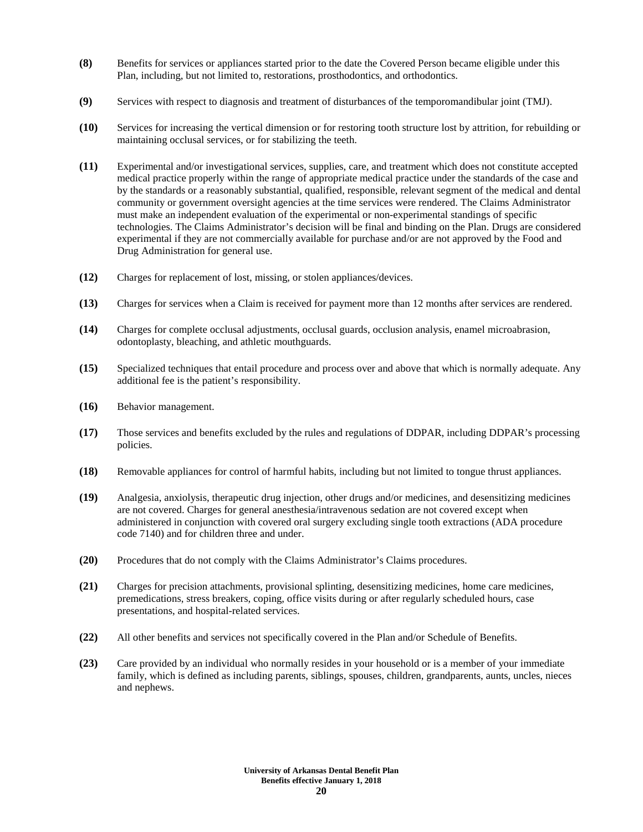- **(8)** Benefits for services or appliances started prior to the date the Covered Person became eligible under this Plan, including, but not limited to, restorations, prosthodontics, and orthodontics.
- **(9)** Services with respect to diagnosis and treatment of disturbances of the temporomandibular joint (TMJ).
- **(10)** Services for increasing the vertical dimension or for restoring tooth structure lost by attrition, for rebuilding or maintaining occlusal services, or for stabilizing the teeth.
- **(11)** Experimental and/or investigational services, supplies, care, and treatment which does not constitute accepted medical practice properly within the range of appropriate medical practice under the standards of the case and by the standards or a reasonably substantial, qualified, responsible, relevant segment of the medical and dental community or government oversight agencies at the time services were rendered. The Claims Administrator must make an independent evaluation of the experimental or non-experimental standings of specific technologies. The Claims Administrator's decision will be final and binding on the Plan. Drugs are considered experimental if they are not commercially available for purchase and/or are not approved by the Food and Drug Administration for general use.
- **(12)** Charges for replacement of lost, missing, or stolen appliances/devices.
- **(13)** Charges for services when a Claim is received for payment more than 12 months after services are rendered.
- **(14)** Charges for complete occlusal adjustments, occlusal guards, occlusion analysis, enamel microabrasion, odontoplasty, bleaching, and athletic mouthguards.
- **(15)** Specialized techniques that entail procedure and process over and above that which is normally adequate. Any additional fee is the patient's responsibility.
- **(16)** Behavior management.
- **(17)** Those services and benefits excluded by the rules and regulations of DDPAR, including DDPAR's processing policies.
- **(18)** Removable appliances for control of harmful habits, including but not limited to tongue thrust appliances.
- **(19)** Analgesia, anxiolysis, therapeutic drug injection, other drugs and/or medicines, and desensitizing medicines are not covered. Charges for general anesthesia/intravenous sedation are not covered except when administered in conjunction with covered oral surgery excluding single tooth extractions (ADA procedure code 7140) and for children three and under.
- **(20)** Procedures that do not comply with the Claims Administrator's Claims procedures.
- **(21)** Charges for precision attachments, provisional splinting, desensitizing medicines, home care medicines, premedications, stress breakers, coping, office visits during or after regularly scheduled hours, case presentations, and hospital-related services.
- **(22)** All other benefits and services not specifically covered in the Plan and/or Schedule of Benefits.
- **(23)** Care provided by an individual who normally resides in your household or is a member of your immediate family, which is defined as including parents, siblings, spouses, children, grandparents, aunts, uncles, nieces and nephews.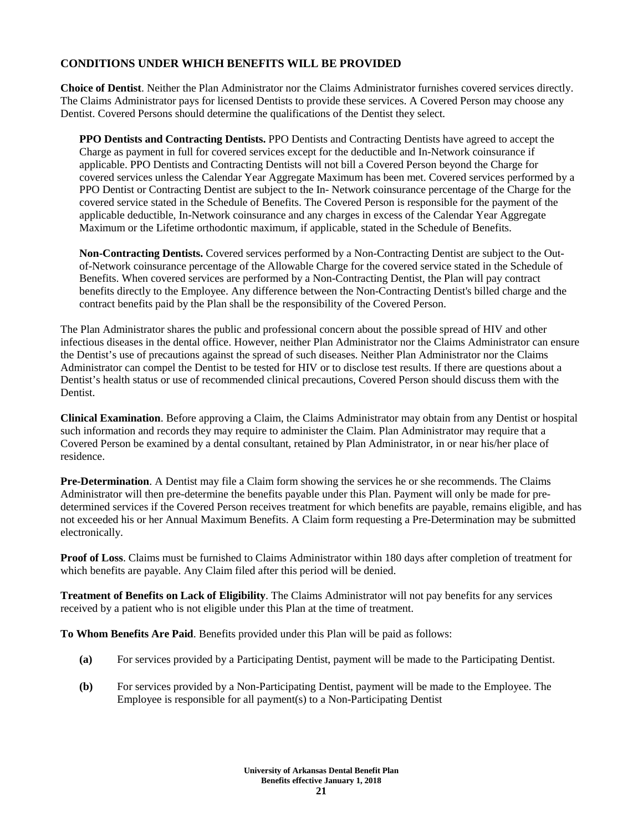# **CONDITIONS UNDER WHICH BENEFITS WILL BE PROVIDED**

**Choice of Dentist**. Neither the Plan Administrator nor the Claims Administrator furnishes covered services directly. The Claims Administrator pays for licensed Dentists to provide these services. A Covered Person may choose any Dentist. Covered Persons should determine the qualifications of the Dentist they select.

**PPO Dentists and Contracting Dentists.** PPO Dentists and Contracting Dentists have agreed to accept the Charge as payment in full for covered services except for the deductible and In-Network coinsurance if applicable. PPO Dentists and Contracting Dentists will not bill a Covered Person beyond the Charge for covered services unless the Calendar Year Aggregate Maximum has been met. Covered services performed by a PPO Dentist or Contracting Dentist are subject to the In- Network coinsurance percentage of the Charge for the covered service stated in the Schedule of Benefits. The Covered Person is responsible for the payment of the applicable deductible, In-Network coinsurance and any charges in excess of the Calendar Year Aggregate Maximum or the Lifetime orthodontic maximum, if applicable, stated in the Schedule of Benefits.

**Non-Contracting Dentists.** Covered services performed by a Non-Contracting Dentist are subject to the Outof-Network coinsurance percentage of the Allowable Charge for the covered service stated in the Schedule of Benefits. When covered services are performed by a Non-Contracting Dentist, the Plan will pay contract benefits directly to the Employee. Any difference between the Non-Contracting Dentist's billed charge and the contract benefits paid by the Plan shall be the responsibility of the Covered Person.

The Plan Administrator shares the public and professional concern about the possible spread of HIV and other infectious diseases in the dental office. However, neither Plan Administrator nor the Claims Administrator can ensure the Dentist's use of precautions against the spread of such diseases. Neither Plan Administrator nor the Claims Administrator can compel the Dentist to be tested for HIV or to disclose test results. If there are questions about a Dentist's health status or use of recommended clinical precautions, Covered Person should discuss them with the Dentist.

**Clinical Examination**. Before approving a Claim, the Claims Administrator may obtain from any Dentist or hospital such information and records they may require to administer the Claim. Plan Administrator may require that a Covered Person be examined by a dental consultant, retained by Plan Administrator, in or near his/her place of residence.

**Pre-Determination**. A Dentist may file a Claim form showing the services he or she recommends. The Claims Administrator will then pre-determine the benefits payable under this Plan. Payment will only be made for predetermined services if the Covered Person receives treatment for which benefits are payable, remains eligible, and has not exceeded his or her Annual Maximum Benefits. A Claim form requesting a Pre-Determination may be submitted electronically.

**Proof of Loss**. Claims must be furnished to Claims Administrator within 180 days after completion of treatment for which benefits are payable. Any Claim filed after this period will be denied.

**Treatment of Benefits on Lack of Eligibility**. The Claims Administrator will not pay benefits for any services received by a patient who is not eligible under this Plan at the time of treatment.

**To Whom Benefits Are Paid**. Benefits provided under this Plan will be paid as follows:

- **(a)** For services provided by a Participating Dentist, payment will be made to the Participating Dentist.
- **(b)** For services provided by a Non-Participating Dentist, payment will be made to the Employee. The Employee is responsible for all payment(s) to a Non-Participating Dentist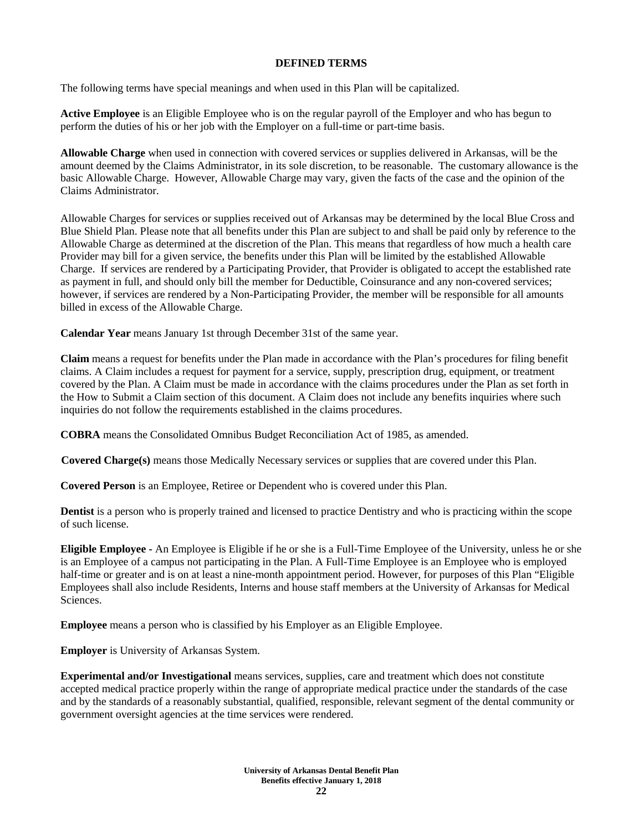## **DEFINED TERMS**

The following terms have special meanings and when used in this Plan will be capitalized.

**Active Employee** is an Eligible Employee who is on the regular payroll of the Employer and who has begun to perform the duties of his or her job with the Employer on a full-time or part-time basis.

**Allowable Charge** when used in connection with covered services or supplies delivered in Arkansas, will be the amount deemed by the Claims Administrator, in its sole discretion, to be reasonable. The customary allowance is the basic Allowable Charge. However, Allowable Charge may vary, given the facts of the case and the opinion of the Claims Administrator.

Allowable Charges for services or supplies received out of Arkansas may be determined by the local Blue Cross and Blue Shield Plan. Please note that all benefits under this Plan are subject to and shall be paid only by reference to the Allowable Charge as determined at the discretion of the Plan. This means that regardless of how much a health care Provider may bill for a given service, the benefits under this Plan will be limited by the established Allowable Charge. If services are rendered by a Participating Provider, that Provider is obligated to accept the established rate as payment in full, and should only bill the member for Deductible, Coinsurance and any non-covered services; however, if services are rendered by a Non-Participating Provider, the member will be responsible for all amounts billed in excess of the Allowable Charge.

**Calendar Year** means January 1st through December 31st of the same year.

**Claim** means a request for benefits under the Plan made in accordance with the Plan's procedures for filing benefit claims. A Claim includes a request for payment for a service, supply, prescription drug, equipment, or treatment covered by the Plan. A Claim must be made in accordance with the claims procedures under the Plan as set forth in the How to Submit a Claim section of this document. A Claim does not include any benefits inquiries where such inquiries do not follow the requirements established in the claims procedures.

**COBRA** means the Consolidated Omnibus Budget Reconciliation Act of 1985, as amended.

**Covered Charge(s)** means those Medically Necessary services or supplies that are covered under this Plan.

**Covered Person** is an Employee, Retiree or Dependent who is covered under this Plan.

**Dentist** is a person who is properly trained and licensed to practice Dentistry and who is practicing within the scope of such license.

**Eligible Employee -** An Employee is Eligible if he or she is a Full-Time Employee of the University, unless he or she is an Employee of a campus not participating in the Plan. A Full-Time Employee is an Employee who is employed half-time or greater and is on at least a nine-month appointment period. However, for purposes of this Plan "Eligible Employees shall also include Residents, Interns and house staff members at the University of Arkansas for Medical Sciences.

**Employee** means a person who is classified by his Employer as an Eligible Employee.

**Employer** is University of Arkansas System.

**Experimental and/or Investigational** means services, supplies, care and treatment which does not constitute accepted medical practice properly within the range of appropriate medical practice under the standards of the case and by the standards of a reasonably substantial, qualified, responsible, relevant segment of the dental community or government oversight agencies at the time services were rendered.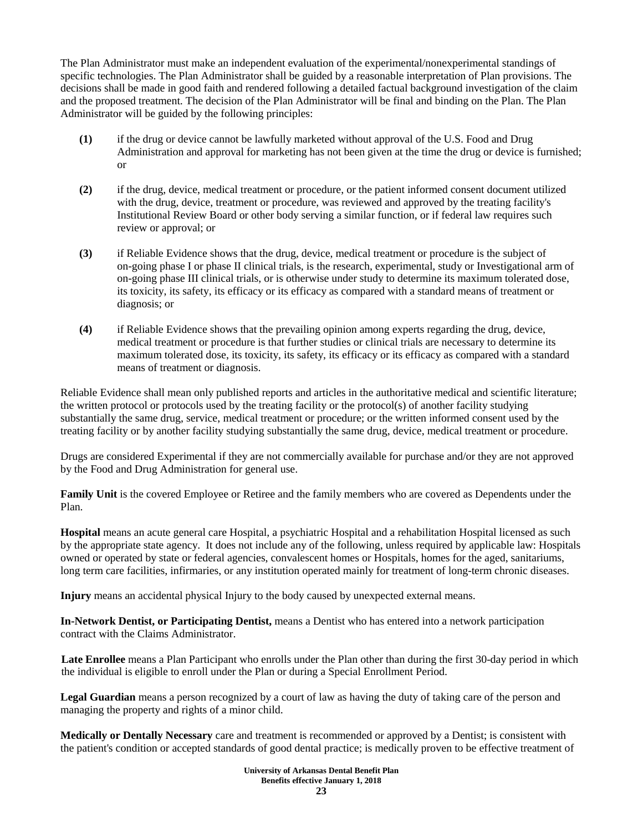The Plan Administrator must make an independent evaluation of the experimental/nonexperimental standings of specific technologies. The Plan Administrator shall be guided by a reasonable interpretation of Plan provisions. The decisions shall be made in good faith and rendered following a detailed factual background investigation of the claim and the proposed treatment. The decision of the Plan Administrator will be final and binding on the Plan. The Plan Administrator will be guided by the following principles:

- **(1)** if the drug or device cannot be lawfully marketed without approval of the U.S. Food and Drug Administration and approval for marketing has not been given at the time the drug or device is furnished; or
- **(2)** if the drug, device, medical treatment or procedure, or the patient informed consent document utilized with the drug, device, treatment or procedure, was reviewed and approved by the treating facility's Institutional Review Board or other body serving a similar function, or if federal law requires such review or approval; or
- **(3)** if Reliable Evidence shows that the drug, device, medical treatment or procedure is the subject of on-going phase I or phase II clinical trials, is the research, experimental, study or Investigational arm of on-going phase III clinical trials, or is otherwise under study to determine its maximum tolerated dose, its toxicity, its safety, its efficacy or its efficacy as compared with a standard means of treatment or diagnosis; or
- **(4)** if Reliable Evidence shows that the prevailing opinion among experts regarding the drug, device, medical treatment or procedure is that further studies or clinical trials are necessary to determine its maximum tolerated dose, its toxicity, its safety, its efficacy or its efficacy as compared with a standard means of treatment or diagnosis.

Reliable Evidence shall mean only published reports and articles in the authoritative medical and scientific literature; the written protocol or protocols used by the treating facility or the protocol(s) of another facility studying substantially the same drug, service, medical treatment or procedure; or the written informed consent used by the treating facility or by another facility studying substantially the same drug, device, medical treatment or procedure.

Drugs are considered Experimental if they are not commercially available for purchase and/or they are not approved by the Food and Drug Administration for general use.

**Family Unit** is the covered Employee or Retiree and the family members who are covered as Dependents under the Plan.

**Hospital** means an acute general care Hospital, a psychiatric Hospital and a rehabilitation Hospital licensed as such by the appropriate state agency. It does not include any of the following, unless required by applicable law: Hospitals owned or operated by state or federal agencies, convalescent homes or Hospitals, homes for the aged, sanitariums, long term care facilities, infirmaries, or any institution operated mainly for treatment of long-term chronic diseases.

**Injury** means an accidental physical Injury to the body caused by unexpected external means.

**In-Network Dentist, or Participating Dentist,** means a Dentist who has entered into a network participation contract with the Claims Administrator.

Late Enrollee means a Plan Participant who enrolls under the Plan other than during the first 30-day period in which the individual is eligible to enroll under the Plan or during a Special Enrollment Period.

**Legal Guardian** means a person recognized by a court of law as having the duty of taking care of the person and managing the property and rights of a minor child.

**Medically or Dentally Necessary** care and treatment is recommended or approved by a Dentist; is consistent with the patient's condition or accepted standards of good dental practice; is medically proven to be effective treatment of

> **University of Arkansas Dental Benefit Plan Benefits effective January 1, 2018 23**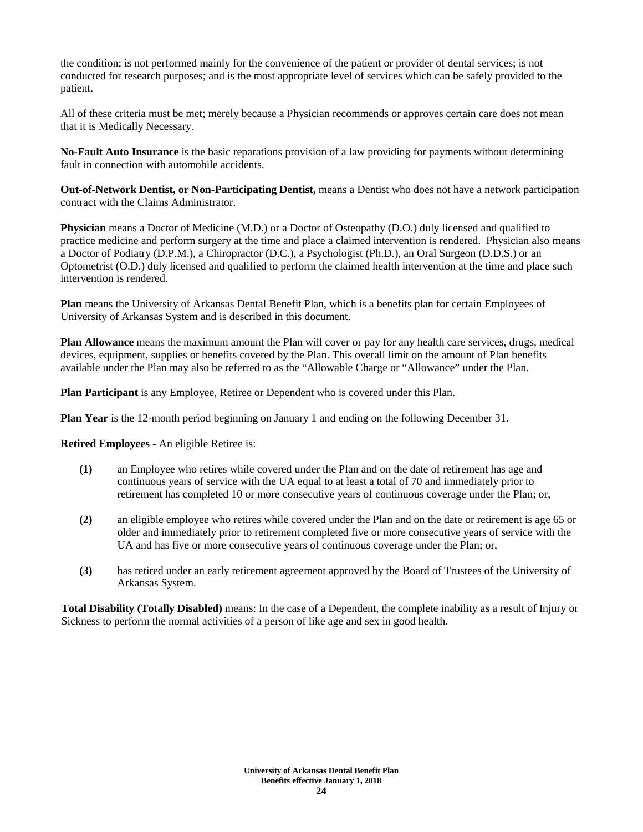the condition; is not performed mainly for the convenience of the patient or provider of dental services; is not conducted for research purposes; and is the most appropriate level of services which can be safely provided to the patient.

All of these criteria must be met; merely because a Physician recommends or approves certain care does not mean that it is Medically Necessary.

**No-Fault Auto Insurance** is the basic reparations provision of a law providing for payments without determining fault in connection with automobile accidents.

**Out-of-Network Dentist, or Non-Participating Dentist,** means a Dentist who does not have a network participation contract with the Claims Administrator.

**Physician** means a Doctor of Medicine (M.D.) or a Doctor of Osteopathy (D.O.) duly licensed and qualified to practice medicine and perform surgery at the time and place a claimed intervention is rendered. Physician also means a Doctor of Podiatry (D.P.M.), a Chiropractor (D.C.), a Psychologist (Ph.D.), an Oral Surgeon (D.D.S.) or an Optometrist (O.D.) duly licensed and qualified to perform the claimed health intervention at the time and place such intervention is rendered.

**Plan** means the University of Arkansas Dental Benefit Plan, which is a benefits plan for certain Employees of University of Arkansas System and is described in this document.

**Plan Allowance** means the maximum amount the Plan will cover or pay for any health care services, drugs, medical devices, equipment, supplies or benefits covered by the Plan. This overall limit on the amount of Plan benefits available under the Plan may also be referred to as the "Allowable Charge or "Allowance" under the Plan.

**Plan Participant** is any Employee, Retiree or Dependent who is covered under this Plan.

**Plan Year** is the 12-month period beginning on January 1 and ending on the following December 31.

**Retired Employees -** An eligible Retiree is:

- **(1)** an Employee who retires while covered under the Plan and on the date of retirement has age and continuous years of service with the UA equal to at least a total of 70 and immediately prior to retirement has completed 10 or more consecutive years of continuous coverage under the Plan; or,
- **(2)** an eligible employee who retires while covered under the Plan and on the date or retirement is age 65 or older and immediately prior to retirement completed five or more consecutive years of service with the UA and has five or more consecutive years of continuous coverage under the Plan; or,
- **(3)** has retired under an early retirement agreement approved by the Board of Trustees of the University of Arkansas System.

**Total Disability (Totally Disabled)** means: In the case of a Dependent, the complete inability as a result of Injury or Sickness to perform the normal activities of a person of like age and sex in good health.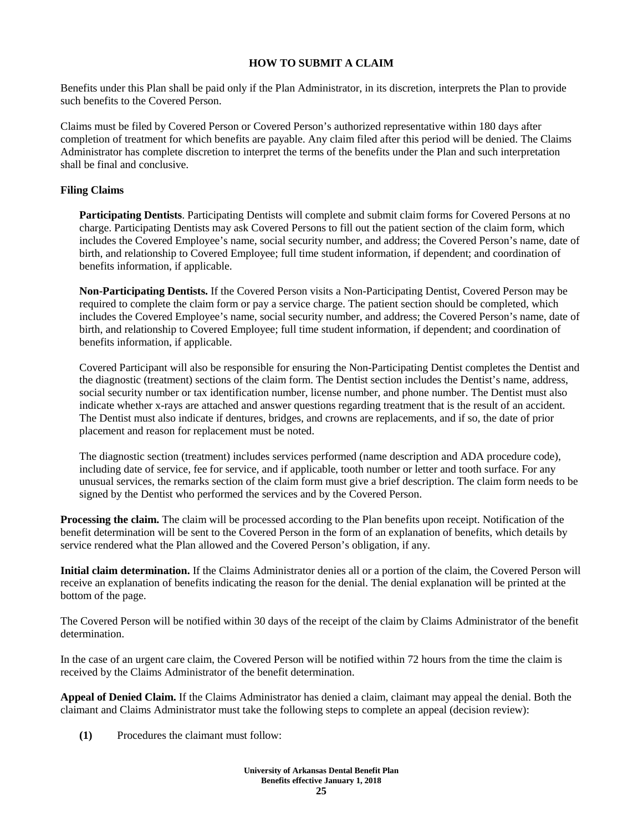# **HOW TO SUBMIT A CLAIM**

Benefits under this Plan shall be paid only if the Plan Administrator, in its discretion, interprets the Plan to provide such benefits to the Covered Person.

Claims must be filed by Covered Person or Covered Person's authorized representative within 180 days after completion of treatment for which benefits are payable. Any claim filed after this period will be denied. The Claims Administrator has complete discretion to interpret the terms of the benefits under the Plan and such interpretation shall be final and conclusive.

## **Filing Claims**

**Participating Dentists**. Participating Dentists will complete and submit claim forms for Covered Persons at no charge. Participating Dentists may ask Covered Persons to fill out the patient section of the claim form, which includes the Covered Employee's name, social security number, and address; the Covered Person's name, date of birth, and relationship to Covered Employee; full time student information, if dependent; and coordination of benefits information, if applicable.

**Non-Participating Dentists.** If the Covered Person visits a Non-Participating Dentist, Covered Person may be required to complete the claim form or pay a service charge. The patient section should be completed, which includes the Covered Employee's name, social security number, and address; the Covered Person's name, date of birth, and relationship to Covered Employee; full time student information, if dependent; and coordination of benefits information, if applicable.

Covered Participant will also be responsible for ensuring the Non-Participating Dentist completes the Dentist and the diagnostic (treatment) sections of the claim form. The Dentist section includes the Dentist's name, address, social security number or tax identification number, license number, and phone number. The Dentist must also indicate whether x-rays are attached and answer questions regarding treatment that is the result of an accident. The Dentist must also indicate if dentures, bridges, and crowns are replacements, and if so, the date of prior placement and reason for replacement must be noted.

The diagnostic section (treatment) includes services performed (name description and ADA procedure code), including date of service, fee for service, and if applicable, tooth number or letter and tooth surface. For any unusual services, the remarks section of the claim form must give a brief description. The claim form needs to be signed by the Dentist who performed the services and by the Covered Person.

**Processing the claim.** The claim will be processed according to the Plan benefits upon receipt. Notification of the benefit determination will be sent to the Covered Person in the form of an explanation of benefits, which details by service rendered what the Plan allowed and the Covered Person's obligation, if any.

**Initial claim determination.** If the Claims Administrator denies all or a portion of the claim, the Covered Person will receive an explanation of benefits indicating the reason for the denial. The denial explanation will be printed at the bottom of the page.

The Covered Person will be notified within 30 days of the receipt of the claim by Claims Administrator of the benefit determination.

In the case of an urgent care claim, the Covered Person will be notified within 72 hours from the time the claim is received by the Claims Administrator of the benefit determination.

**Appeal of Denied Claim.** If the Claims Administrator has denied a claim, claimant may appeal the denial. Both the claimant and Claims Administrator must take the following steps to complete an appeal (decision review):

**(1)** Procedures the claimant must follow: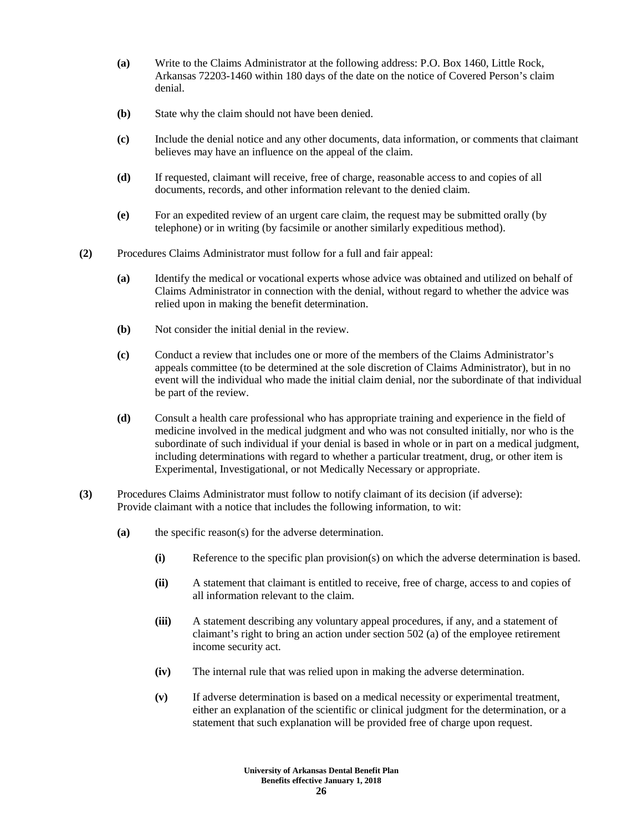- **(a)** Write to the Claims Administrator at the following address: P.O. Box 1460, Little Rock, Arkansas 72203-1460 within 180 days of the date on the notice of Covered Person's claim denial.
- **(b)** State why the claim should not have been denied.
- **(c)** Include the denial notice and any other documents, data information, or comments that claimant believes may have an influence on the appeal of the claim.
- **(d)** If requested, claimant will receive, free of charge, reasonable access to and copies of all documents, records, and other information relevant to the denied claim.
- **(e)** For an expedited review of an urgent care claim, the request may be submitted orally (by telephone) or in writing (by facsimile or another similarly expeditious method).
- **(2)** Procedures Claims Administrator must follow for a full and fair appeal:
	- **(a)** Identify the medical or vocational experts whose advice was obtained and utilized on behalf of Claims Administrator in connection with the denial, without regard to whether the advice was relied upon in making the benefit determination.
	- **(b)** Not consider the initial denial in the review.
	- **(c)** Conduct a review that includes one or more of the members of the Claims Administrator's appeals committee (to be determined at the sole discretion of Claims Administrator), but in no event will the individual who made the initial claim denial, nor the subordinate of that individual be part of the review.
	- **(d)** Consult a health care professional who has appropriate training and experience in the field of medicine involved in the medical judgment and who was not consulted initially, nor who is the subordinate of such individual if your denial is based in whole or in part on a medical judgment, including determinations with regard to whether a particular treatment, drug, or other item is Experimental, Investigational, or not Medically Necessary or appropriate.
- **(3)** Procedures Claims Administrator must follow to notify claimant of its decision (if adverse): Provide claimant with a notice that includes the following information, to wit:
	- **(a)** the specific reason(s) for the adverse determination.
		- **(i)** Reference to the specific plan provision(s) on which the adverse determination is based.
		- **(ii)** A statement that claimant is entitled to receive, free of charge, access to and copies of all information relevant to the claim.
		- **(iii)** A statement describing any voluntary appeal procedures, if any, and a statement of claimant's right to bring an action under section 502 (a) of the employee retirement income security act.
		- **(iv)** The internal rule that was relied upon in making the adverse determination.
		- **(v)** If adverse determination is based on a medical necessity or experimental treatment, either an explanation of the scientific or clinical judgment for the determination, or a statement that such explanation will be provided free of charge upon request.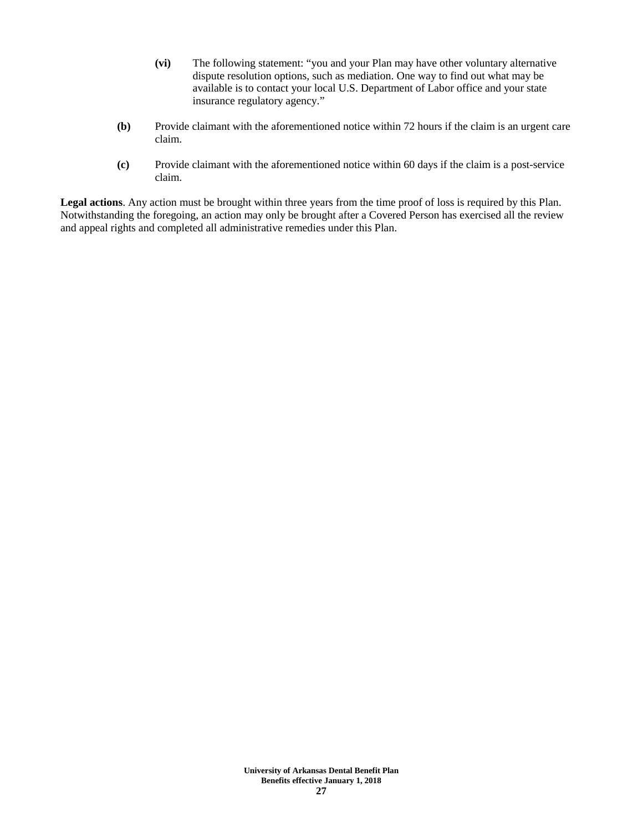- **(vi)** The following statement: "you and your Plan may have other voluntary alternative dispute resolution options, such as mediation. One way to find out what may be available is to contact your local U.S. Department of Labor office and your state insurance regulatory agency."
- **(b)** Provide claimant with the aforementioned notice within 72 hours if the claim is an urgent care claim.
- **(c)** Provide claimant with the aforementioned notice within 60 days if the claim is a post-service claim.

**Legal actions**. Any action must be brought within three years from the time proof of loss is required by this Plan. Notwithstanding the foregoing, an action may only be brought after a Covered Person has exercised all the review and appeal rights and completed all administrative remedies under this Plan.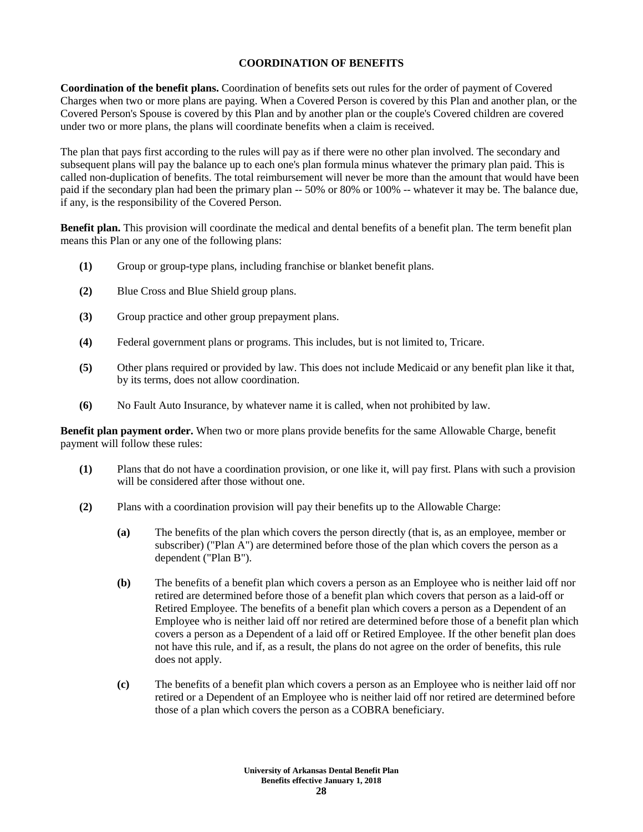# **COORDINATION OF BENEFITS**

**Coordination of the benefit plans.** Coordination of benefits sets out rules for the order of payment of Covered Charges when two or more plans are paying. When a Covered Person is covered by this Plan and another plan, or the Covered Person's Spouse is covered by this Plan and by another plan or the couple's Covered children are covered under two or more plans, the plans will coordinate benefits when a claim is received.

The plan that pays first according to the rules will pay as if there were no other plan involved. The secondary and subsequent plans will pay the balance up to each one's plan formula minus whatever the primary plan paid. This is called non-duplication of benefits. The total reimbursement will never be more than the amount that would have been paid if the secondary plan had been the primary plan -- 50% or 80% or 100% -- whatever it may be. The balance due, if any, is the responsibility of the Covered Person.

**Benefit plan.** This provision will coordinate the medical and dental benefits of a benefit plan. The term benefit plan means this Plan or any one of the following plans:

- **(1)** Group or group-type plans, including franchise or blanket benefit plans.
- **(2)** Blue Cross and Blue Shield group plans.
- **(3)** Group practice and other group prepayment plans.
- **(4)** Federal government plans or programs. This includes, but is not limited to, Tricare.
- **(5)** Other plans required or provided by law. This does not include Medicaid or any benefit plan like it that, by its terms, does not allow coordination.
- **(6)** No Fault Auto Insurance, by whatever name it is called, when not prohibited by law.

**Benefit plan payment order.** When two or more plans provide benefits for the same Allowable Charge, benefit payment will follow these rules:

- **(1)** Plans that do not have a coordination provision, or one like it, will pay first. Plans with such a provision will be considered after those without one.
- **(2)** Plans with a coordination provision will pay their benefits up to the Allowable Charge:
	- **(a)** The benefits of the plan which covers the person directly (that is, as an employee, member or subscriber) ("Plan A") are determined before those of the plan which covers the person as a dependent ("Plan B").
	- **(b)** The benefits of a benefit plan which covers a person as an Employee who is neither laid off nor retired are determined before those of a benefit plan which covers that person as a laid-off or Retired Employee. The benefits of a benefit plan which covers a person as a Dependent of an Employee who is neither laid off nor retired are determined before those of a benefit plan which covers a person as a Dependent of a laid off or Retired Employee. If the other benefit plan does not have this rule, and if, as a result, the plans do not agree on the order of benefits, this rule does not apply.
	- **(c)** The benefits of a benefit plan which covers a person as an Employee who is neither laid off nor retired or a Dependent of an Employee who is neither laid off nor retired are determined before those of a plan which covers the person as a COBRA beneficiary.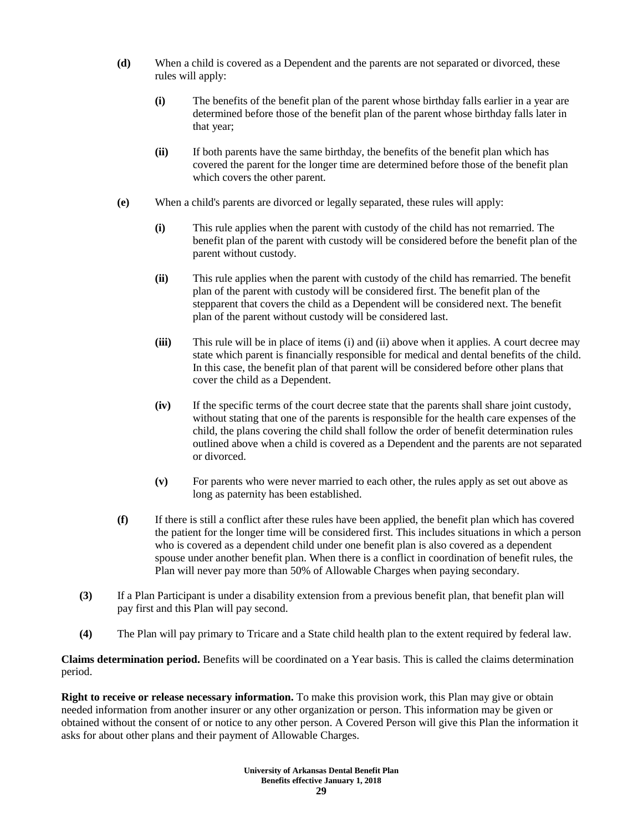- **(d)** When a child is covered as a Dependent and the parents are not separated or divorced, these rules will apply:
	- **(i)** The benefits of the benefit plan of the parent whose birthday falls earlier in a year are determined before those of the benefit plan of the parent whose birthday falls later in that year;
	- **(ii)** If both parents have the same birthday, the benefits of the benefit plan which has covered the parent for the longer time are determined before those of the benefit plan which covers the other parent.
- **(e)** When a child's parents are divorced or legally separated, these rules will apply:
	- **(i)** This rule applies when the parent with custody of the child has not remarried. The benefit plan of the parent with custody will be considered before the benefit plan of the parent without custody.
	- **(ii)** This rule applies when the parent with custody of the child has remarried. The benefit plan of the parent with custody will be considered first. The benefit plan of the stepparent that covers the child as a Dependent will be considered next. The benefit plan of the parent without custody will be considered last.
	- **(iii)** This rule will be in place of items (i) and (ii) above when it applies. A court decree may state which parent is financially responsible for medical and dental benefits of the child. In this case, the benefit plan of that parent will be considered before other plans that cover the child as a Dependent.
	- **(iv)** If the specific terms of the court decree state that the parents shall share joint custody, without stating that one of the parents is responsible for the health care expenses of the child, the plans covering the child shall follow the order of benefit determination rules outlined above when a child is covered as a Dependent and the parents are not separated or divorced.
	- **(v)** For parents who were never married to each other, the rules apply as set out above as long as paternity has been established.
- **(f)** If there is still a conflict after these rules have been applied, the benefit plan which has covered the patient for the longer time will be considered first. This includes situations in which a person who is covered as a dependent child under one benefit plan is also covered as a dependent spouse under another benefit plan. When there is a conflict in coordination of benefit rules, the Plan will never pay more than 50% of Allowable Charges when paying secondary.
- **(3)** If a Plan Participant is under a disability extension from a previous benefit plan, that benefit plan will pay first and this Plan will pay second.
- **(4)** The Plan will pay primary to Tricare and a State child health plan to the extent required by federal law.

**Claims determination period.** Benefits will be coordinated on a Year basis. This is called the claims determination period.

**Right to receive or release necessary information.** To make this provision work, this Plan may give or obtain needed information from another insurer or any other organization or person. This information may be given or obtained without the consent of or notice to any other person. A Covered Person will give this Plan the information it asks for about other plans and their payment of Allowable Charges.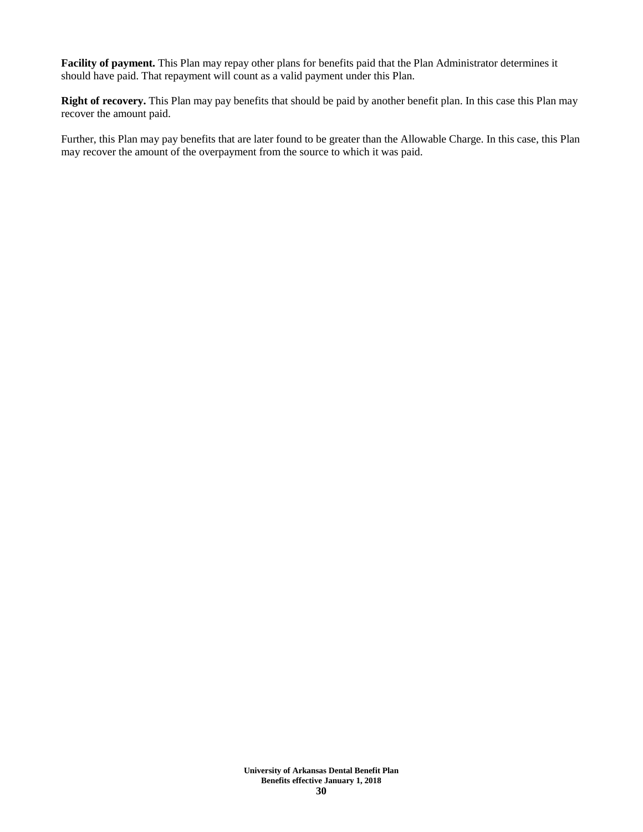**Facility of payment.** This Plan may repay other plans for benefits paid that the Plan Administrator determines it should have paid. That repayment will count as a valid payment under this Plan.

**Right of recovery.** This Plan may pay benefits that should be paid by another benefit plan. In this case this Plan may recover the amount paid.

Further, this Plan may pay benefits that are later found to be greater than the Allowable Charge. In this case, this Plan may recover the amount of the overpayment from the source to which it was paid.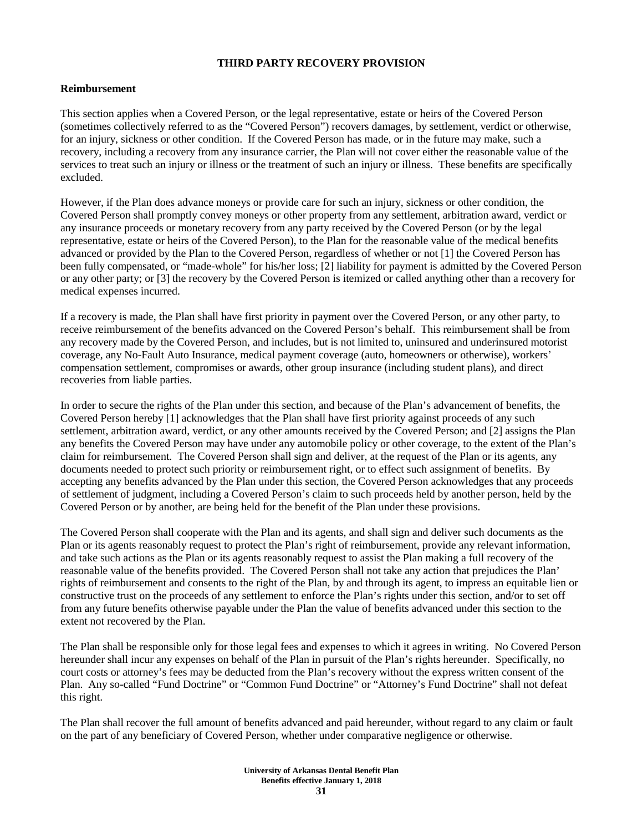# **THIRD PARTY RECOVERY PROVISION**

#### **Reimbursement**

This section applies when a Covered Person, or the legal representative, estate or heirs of the Covered Person (sometimes collectively referred to as the "Covered Person") recovers damages, by settlement, verdict or otherwise, for an injury, sickness or other condition. If the Covered Person has made, or in the future may make, such a recovery, including a recovery from any insurance carrier, the Plan will not cover either the reasonable value of the services to treat such an injury or illness or the treatment of such an injury or illness. These benefits are specifically excluded.

However, if the Plan does advance moneys or provide care for such an injury, sickness or other condition, the Covered Person shall promptly convey moneys or other property from any settlement, arbitration award, verdict or any insurance proceeds or monetary recovery from any party received by the Covered Person (or by the legal representative, estate or heirs of the Covered Person), to the Plan for the reasonable value of the medical benefits advanced or provided by the Plan to the Covered Person, regardless of whether or not [1] the Covered Person has been fully compensated, or "made-whole" for his/her loss; [2] liability for payment is admitted by the Covered Person or any other party; or [3] the recovery by the Covered Person is itemized or called anything other than a recovery for medical expenses incurred.

If a recovery is made, the Plan shall have first priority in payment over the Covered Person, or any other party, to receive reimbursement of the benefits advanced on the Covered Person's behalf. This reimbursement shall be from any recovery made by the Covered Person, and includes, but is not limited to, uninsured and underinsured motorist coverage, any No-Fault Auto Insurance, medical payment coverage (auto, homeowners or otherwise), workers' compensation settlement, compromises or awards, other group insurance (including student plans), and direct recoveries from liable parties.

In order to secure the rights of the Plan under this section, and because of the Plan's advancement of benefits, the Covered Person hereby [1] acknowledges that the Plan shall have first priority against proceeds of any such settlement, arbitration award, verdict, or any other amounts received by the Covered Person; and [2] assigns the Plan any benefits the Covered Person may have under any automobile policy or other coverage, to the extent of the Plan's claim for reimbursement. The Covered Person shall sign and deliver, at the request of the Plan or its agents, any documents needed to protect such priority or reimbursement right, or to effect such assignment of benefits. By accepting any benefits advanced by the Plan under this section, the Covered Person acknowledges that any proceeds of settlement of judgment, including a Covered Person's claim to such proceeds held by another person, held by the Covered Person or by another, are being held for the benefit of the Plan under these provisions.

The Covered Person shall cooperate with the Plan and its agents, and shall sign and deliver such documents as the Plan or its agents reasonably request to protect the Plan's right of reimbursement, provide any relevant information, and take such actions as the Plan or its agents reasonably request to assist the Plan making a full recovery of the reasonable value of the benefits provided. The Covered Person shall not take any action that prejudices the Plan' rights of reimbursement and consents to the right of the Plan, by and through its agent, to impress an equitable lien or constructive trust on the proceeds of any settlement to enforce the Plan's rights under this section, and/or to set off from any future benefits otherwise payable under the Plan the value of benefits advanced under this section to the extent not recovered by the Plan.

The Plan shall be responsible only for those legal fees and expenses to which it agrees in writing. No Covered Person hereunder shall incur any expenses on behalf of the Plan in pursuit of the Plan's rights hereunder. Specifically, no court costs or attorney's fees may be deducted from the Plan's recovery without the express written consent of the Plan. Any so-called "Fund Doctrine" or "Common Fund Doctrine" or "Attorney's Fund Doctrine" shall not defeat this right.

The Plan shall recover the full amount of benefits advanced and paid hereunder, without regard to any claim or fault on the part of any beneficiary of Covered Person, whether under comparative negligence or otherwise.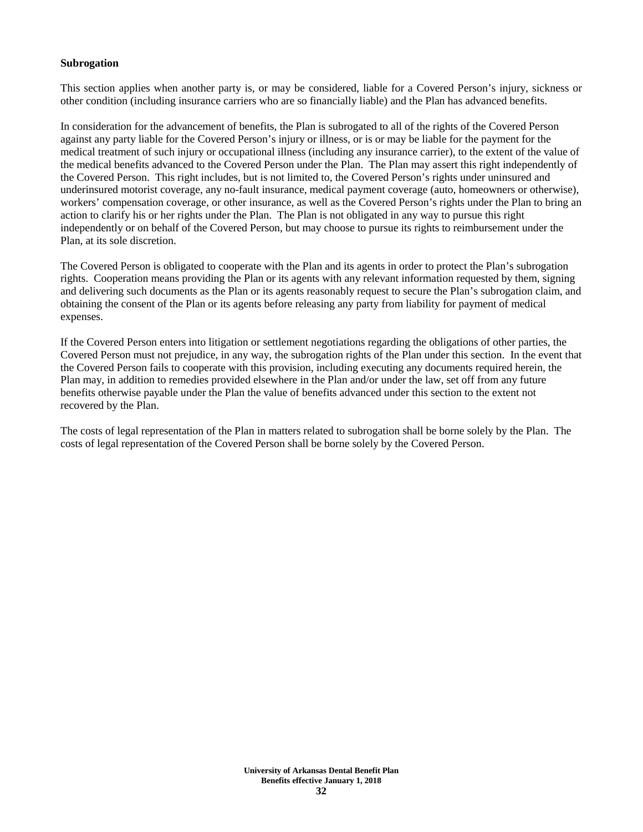#### **Subrogation**

This section applies when another party is, or may be considered, liable for a Covered Person's injury, sickness or other condition (including insurance carriers who are so financially liable) and the Plan has advanced benefits.

In consideration for the advancement of benefits, the Plan is subrogated to all of the rights of the Covered Person against any party liable for the Covered Person's injury or illness, or is or may be liable for the payment for the medical treatment of such injury or occupational illness (including any insurance carrier), to the extent of the value of the medical benefits advanced to the Covered Person under the Plan. The Plan may assert this right independently of the Covered Person. This right includes, but is not limited to, the Covered Person's rights under uninsured and underinsured motorist coverage, any no-fault insurance, medical payment coverage (auto, homeowners or otherwise), workers' compensation coverage, or other insurance, as well as the Covered Person's rights under the Plan to bring an action to clarify his or her rights under the Plan. The Plan is not obligated in any way to pursue this right independently or on behalf of the Covered Person, but may choose to pursue its rights to reimbursement under the Plan, at its sole discretion.

The Covered Person is obligated to cooperate with the Plan and its agents in order to protect the Plan's subrogation rights. Cooperation means providing the Plan or its agents with any relevant information requested by them, signing and delivering such documents as the Plan or its agents reasonably request to secure the Plan's subrogation claim, and obtaining the consent of the Plan or its agents before releasing any party from liability for payment of medical expenses.

If the Covered Person enters into litigation or settlement negotiations regarding the obligations of other parties, the Covered Person must not prejudice, in any way, the subrogation rights of the Plan under this section. In the event that the Covered Person fails to cooperate with this provision, including executing any documents required herein, the Plan may, in addition to remedies provided elsewhere in the Plan and/or under the law, set off from any future benefits otherwise payable under the Plan the value of benefits advanced under this section to the extent not recovered by the Plan.

The costs of legal representation of the Plan in matters related to subrogation shall be borne solely by the Plan. The costs of legal representation of the Covered Person shall be borne solely by the Covered Person.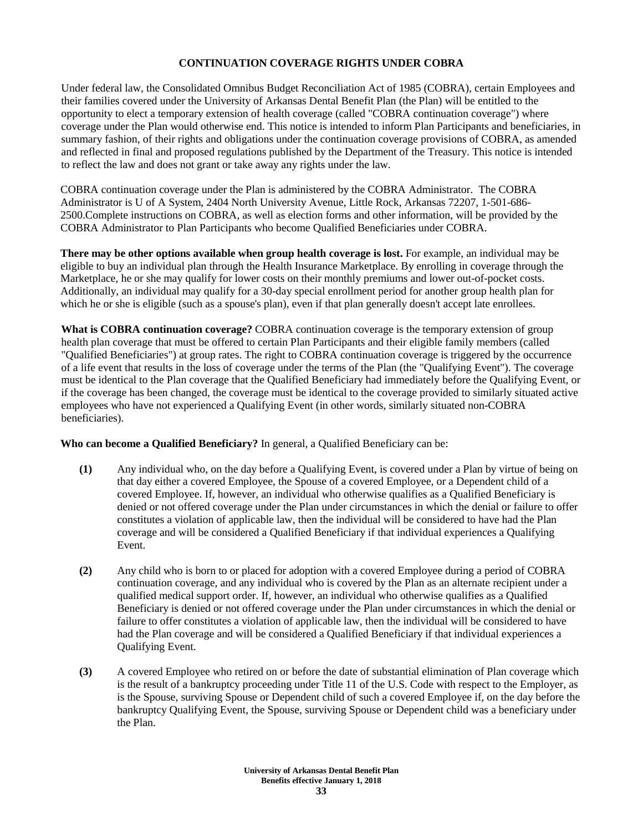# **CONTINUATION COVERAGE RIGHTS UNDER COBRA**

Under federal law, the Consolidated Omnibus Budget Reconciliation Act of 1985 (COBRA), certain Employees and their families covered under the University of Arkansas Dental Benefit Plan (the Plan) will be entitled to the opportunity to elect a temporary extension of health coverage (called "COBRA continuation coverage") where coverage under the Plan would otherwise end. This notice is intended to inform Plan Participants and beneficiaries, in summary fashion, of their rights and obligations under the continuation coverage provisions of COBRA, as amended and reflected in final and proposed regulations published by the Department of the Treasury. This notice is intended to reflect the law and does not grant or take away any rights under the law.

COBRA continuation coverage under the Plan is administered by the COBRA Administrator. The COBRA Administrator is U of A System, 2404 North University Avenue, Little Rock, Arkansas 72207, 1-501-686- 2500.Complete instructions on COBRA, as well as election forms and other information, will be provided by the COBRA Administrator to Plan Participants who become Qualified Beneficiaries under COBRA.

**There may be other options available when group health coverage is lost.** For example, an individual may be eligible to buy an individual plan through the Health Insurance Marketplace. By enrolling in coverage through the Marketplace, he or she may qualify for lower costs on their monthly premiums and lower out-of-pocket costs. Additionally, an individual may qualify for a 30-day special enrollment period for another group health plan for which he or she is eligible (such as a spouse's plan), even if that plan generally doesn't accept late enrollees.

**What is COBRA continuation coverage?** COBRA continuation coverage is the temporary extension of group health plan coverage that must be offered to certain Plan Participants and their eligible family members (called "Qualified Beneficiaries") at group rates. The right to COBRA continuation coverage is triggered by the occurrence of a life event that results in the loss of coverage under the terms of the Plan (the "Qualifying Event"). The coverage must be identical to the Plan coverage that the Qualified Beneficiary had immediately before the Qualifying Event, or if the coverage has been changed, the coverage must be identical to the coverage provided to similarly situated active employees who have not experienced a Qualifying Event (in other words, similarly situated non-COBRA beneficiaries).

**Who can become a Qualified Beneficiary?** In general, a Qualified Beneficiary can be:

- **(1)** Any individual who, on the day before a Qualifying Event, is covered under a Plan by virtue of being on that day either a covered Employee, the Spouse of a covered Employee, or a Dependent child of a covered Employee. If, however, an individual who otherwise qualifies as a Qualified Beneficiary is denied or not offered coverage under the Plan under circumstances in which the denial or failure to offer constitutes a violation of applicable law, then the individual will be considered to have had the Plan coverage and will be considered a Qualified Beneficiary if that individual experiences a Qualifying Event.
- **(2)** Any child who is born to or placed for adoption with a covered Employee during a period of COBRA continuation coverage, and any individual who is covered by the Plan as an alternate recipient under a qualified medical support order. If, however, an individual who otherwise qualifies as a Qualified Beneficiary is denied or not offered coverage under the Plan under circumstances in which the denial or failure to offer constitutes a violation of applicable law, then the individual will be considered to have had the Plan coverage and will be considered a Qualified Beneficiary if that individual experiences a Qualifying Event.
- **(3)** A covered Employee who retired on or before the date of substantial elimination of Plan coverage which is the result of a bankruptcy proceeding under Title 11 of the U.S. Code with respect to the Employer, as is the Spouse, surviving Spouse or Dependent child of such a covered Employee if, on the day before the bankruptcy Qualifying Event, the Spouse, surviving Spouse or Dependent child was a beneficiary under the Plan.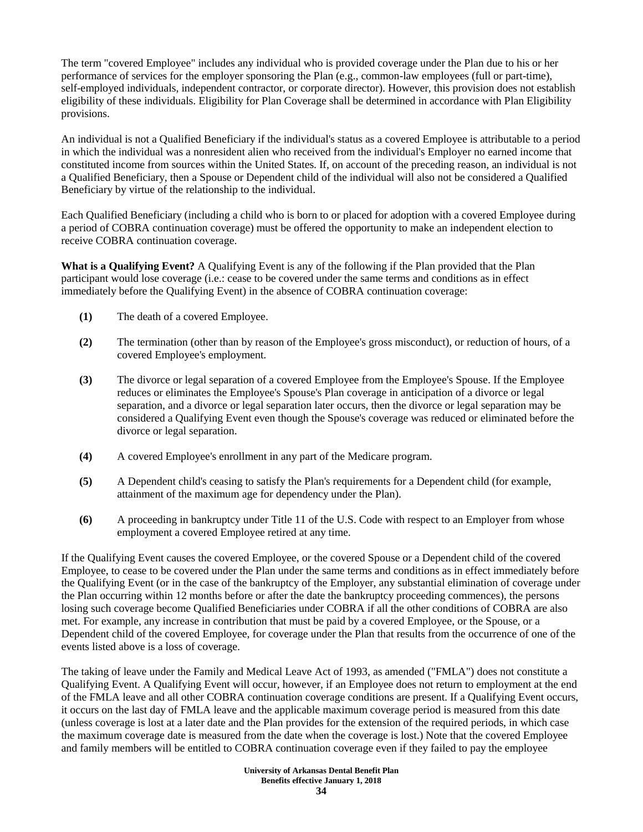The term "covered Employee" includes any individual who is provided coverage under the Plan due to his or her performance of services for the employer sponsoring the Plan (e.g., common-law employees (full or part-time), self-employed individuals, independent contractor, or corporate director). However, this provision does not establish eligibility of these individuals. Eligibility for Plan Coverage shall be determined in accordance with Plan Eligibility provisions.

An individual is not a Qualified Beneficiary if the individual's status as a covered Employee is attributable to a period in which the individual was a nonresident alien who received from the individual's Employer no earned income that constituted income from sources within the United States. If, on account of the preceding reason, an individual is not a Qualified Beneficiary, then a Spouse or Dependent child of the individual will also not be considered a Qualified Beneficiary by virtue of the relationship to the individual.

Each Qualified Beneficiary (including a child who is born to or placed for adoption with a covered Employee during a period of COBRA continuation coverage) must be offered the opportunity to make an independent election to receive COBRA continuation coverage.

**What is a Qualifying Event?** A Qualifying Event is any of the following if the Plan provided that the Plan participant would lose coverage (i.e.: cease to be covered under the same terms and conditions as in effect immediately before the Qualifying Event) in the absence of COBRA continuation coverage:

- **(1)** The death of a covered Employee.
- **(2)** The termination (other than by reason of the Employee's gross misconduct), or reduction of hours, of a covered Employee's employment.
- **(3)** The divorce or legal separation of a covered Employee from the Employee's Spouse. If the Employee reduces or eliminates the Employee's Spouse's Plan coverage in anticipation of a divorce or legal separation, and a divorce or legal separation later occurs, then the divorce or legal separation may be considered a Qualifying Event even though the Spouse's coverage was reduced or eliminated before the divorce or legal separation.
- **(4)** A covered Employee's enrollment in any part of the Medicare program.
- **(5)** A Dependent child's ceasing to satisfy the Plan's requirements for a Dependent child (for example, attainment of the maximum age for dependency under the Plan).
- **(6)** A proceeding in bankruptcy under Title 11 of the U.S. Code with respect to an Employer from whose employment a covered Employee retired at any time.

If the Qualifying Event causes the covered Employee, or the covered Spouse or a Dependent child of the covered Employee, to cease to be covered under the Plan under the same terms and conditions as in effect immediately before the Qualifying Event (or in the case of the bankruptcy of the Employer, any substantial elimination of coverage under the Plan occurring within 12 months before or after the date the bankruptcy proceeding commences), the persons losing such coverage become Qualified Beneficiaries under COBRA if all the other conditions of COBRA are also met. For example, any increase in contribution that must be paid by a covered Employee, or the Spouse, or a Dependent child of the covered Employee, for coverage under the Plan that results from the occurrence of one of the events listed above is a loss of coverage.

The taking of leave under the Family and Medical Leave Act of 1993, as amended ("FMLA") does not constitute a Qualifying Event. A Qualifying Event will occur, however, if an Employee does not return to employment at the end of the FMLA leave and all other COBRA continuation coverage conditions are present. If a Qualifying Event occurs, it occurs on the last day of FMLA leave and the applicable maximum coverage period is measured from this date (unless coverage is lost at a later date and the Plan provides for the extension of the required periods, in which case the maximum coverage date is measured from the date when the coverage is lost.) Note that the covered Employee and family members will be entitled to COBRA continuation coverage even if they failed to pay the employee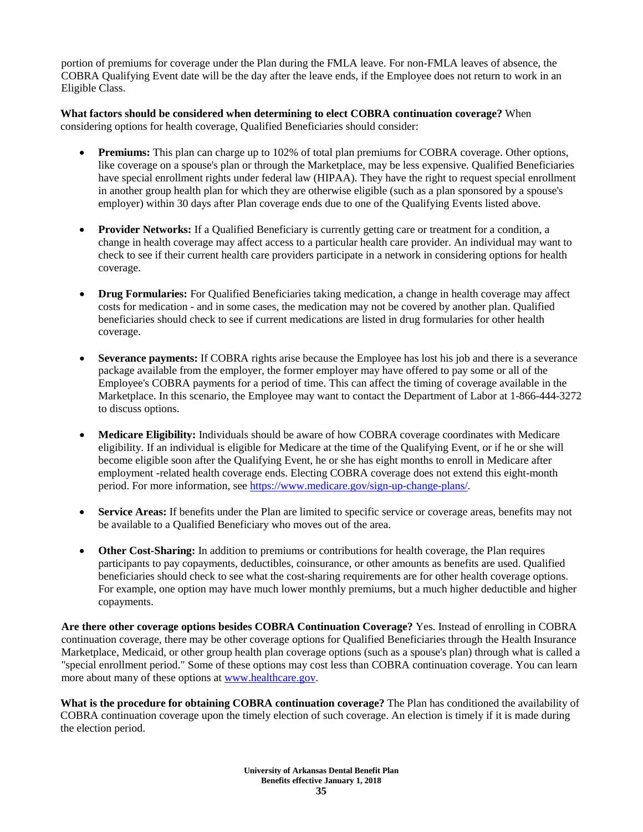portion of premiums for coverage under the Plan during the FMLA leave. For non-FMLA leaves of absence, the COBRA Qualifying Event date will be the day after the leave ends, if the Employee does not return to work in an Eligible Class.

**What factors should be considered when determining to elect COBRA continuation coverage?** When considering options for health coverage, Qualified Beneficiaries should consider:

- **Premiums:** This plan can charge up to 102% of total plan premiums for COBRA coverage. Other options, like coverage on a spouse's plan or through the Marketplace, may be less expensive. Qualified Beneficiaries have special enrollment rights under federal law (HIPAA). They have the right to request special enrollment in another group health plan for which they are otherwise eligible (such as a plan sponsored by a spouse's employer) within 30 days after Plan coverage ends due to one of the Qualifying Events listed above.
- **Provider Networks:** If a Qualified Beneficiary is currently getting care or treatment for a condition, a change in health coverage may affect access to a particular health care provider. An individual may want to check to see if their current health care providers participate in a network in considering options for health coverage.
- **Drug Formularies:** For Qualified Beneficiaries taking medication, a change in health coverage may affect costs for medication - and in some cases, the medication may not be covered by another plan. Qualified beneficiaries should check to see if current medications are listed in drug formularies for other health coverage.
- **Severance payments:** If COBRA rights arise because the Employee has lost his job and there is a severance package available from the employer, the former employer may have offered to pay some or all of the Employee's COBRA payments for a period of time. This can affect the timing of coverage available in the Marketplace. In this scenario, the Employee may want to contact the Department of Labor at 1-866-444-3272 to discuss options.
- **Medicare Eligibility:** Individuals should be aware of how COBRA coverage coordinates with Medicare eligibility. If an individual is eligible for Medicare at the time of the Qualifying Event, or if he or she will become eligible soon after the Qualifying Event, he or she has eight months to enroll in Medicare after employment -related health coverage ends. Electing COBRA coverage does not extend this eight-month period. For more information, see [https://www.medicare.gov/sign-up-change-plans/.](https://www.medicare.gov/sign-up-change-plans/)
- **Service Areas:** If benefits under the Plan are limited to specific service or coverage areas, benefits may not be available to a Qualified Beneficiary who moves out of the area.
- **Other Cost-Sharing:** In addition to premiums or contributions for health coverage, the Plan requires participants to pay copayments, deductibles, coinsurance, or other amounts as benefits are used. Qualified beneficiaries should check to see what the cost-sharing requirements are for other health coverage options. For example, one option may have much lower monthly premiums, but a much higher deductible and higher copayments.

**Are there other coverage options besides COBRA Continuation Coverage?** Yes. Instead of enrolling in COBRA continuation coverage, there may be other coverage options for Qualified Beneficiaries through the Health Insurance Marketplace, Medicaid, or other group health plan coverage options (such as a spouse's plan) through what is called a "special enrollment period." Some of these options may cost less than COBRA continuation coverage. You can learn more about many of these options a[t www.healthcare.gov.](http://www.healthcare.gov/)

**What is the procedure for obtaining COBRA continuation coverage?** The Plan has conditioned the availability of COBRA continuation coverage upon the timely election of such coverage. An election is timely if it is made during the election period.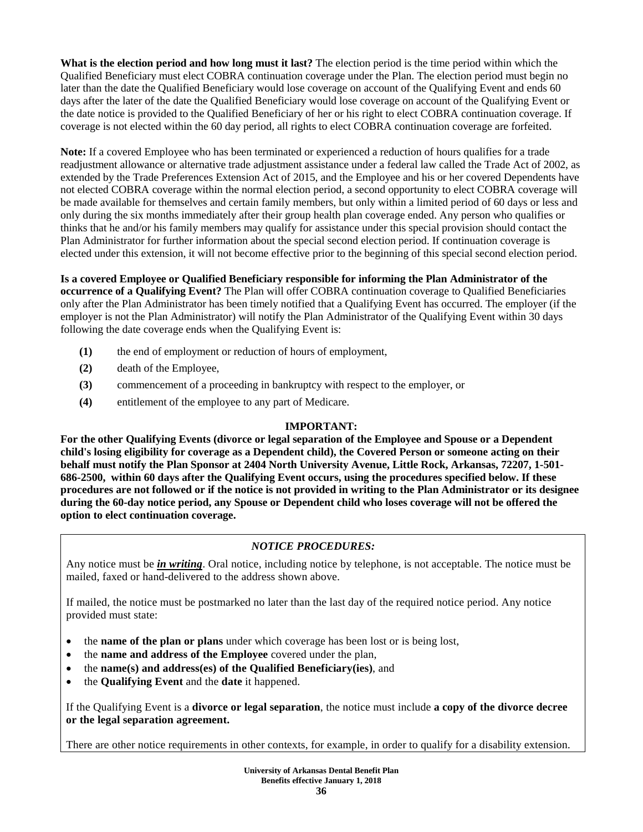**What is the election period and how long must it last?** The election period is the time period within which the Qualified Beneficiary must elect COBRA continuation coverage under the Plan. The election period must begin no later than the date the Qualified Beneficiary would lose coverage on account of the Qualifying Event and ends 60 days after the later of the date the Qualified Beneficiary would lose coverage on account of the Qualifying Event or the date notice is provided to the Qualified Beneficiary of her or his right to elect COBRA continuation coverage. If coverage is not elected within the 60 day period, all rights to elect COBRA continuation coverage are forfeited.

**Note:** If a covered Employee who has been terminated or experienced a reduction of hours qualifies for a trade readjustment allowance or alternative trade adjustment assistance under a federal law called the Trade Act of 2002, as extended by the Trade Preferences Extension Act of 2015, and the Employee and his or her covered Dependents have not elected COBRA coverage within the normal election period, a second opportunity to elect COBRA coverage will be made available for themselves and certain family members, but only within a limited period of 60 days or less and only during the six months immediately after their group health plan coverage ended. Any person who qualifies or thinks that he and/or his family members may qualify for assistance under this special provision should contact the Plan Administrator for further information about the special second election period. If continuation coverage is elected under this extension, it will not become effective prior to the beginning of this special second election period.

**Is a covered Employee or Qualified Beneficiary responsible for informing the Plan Administrator of the occurrence of a Qualifying Event?** The Plan will offer COBRA continuation coverage to Qualified Beneficiaries only after the Plan Administrator has been timely notified that a Qualifying Event has occurred. The employer (if the employer is not the Plan Administrator) will notify the Plan Administrator of the Qualifying Event within 30 days following the date coverage ends when the Qualifying Event is:

- **(1)** the end of employment or reduction of hours of employment,
- **(2)** death of the Employee,
- **(3)** commencement of a proceeding in bankruptcy with respect to the employer, or
- **(4)** entitlement of the employee to any part of Medicare.

# **IMPORTANT:**

**For the other Qualifying Events (divorce or legal separation of the Employee and Spouse or a Dependent child's losing eligibility for coverage as a Dependent child), the Covered Person or someone acting on their behalf must notify the Plan Sponsor at 2404 North University Avenue, Little Rock, Arkansas, 72207, 1-501- 686-2500, within 60 days after the Qualifying Event occurs, using the procedures specified below. If these procedures are not followed or if the notice is not provided in writing to the Plan Administrator or its designee during the 60-day notice period, any Spouse or Dependent child who loses coverage will not be offered the option to elect continuation coverage.** 

# *NOTICE PROCEDURES:*

Any notice must be *in writing*. Oral notice, including notice by telephone, is not acceptable. The notice must be mailed, faxed or hand-delivered to the address shown above.

If mailed, the notice must be postmarked no later than the last day of the required notice period. Any notice provided must state:

- the **name of the plan or plans** under which coverage has been lost or is being lost,
- the **name and address of the Employee** covered under the plan,
- the **name(s) and address(es) of the Qualified Beneficiary(ies)**, and
- the **Qualifying Event** and the **date** it happened.

If the Qualifying Event is a **divorce or legal separation**, the notice must include **a copy of the divorce decree or the legal separation agreement.**

There are other notice requirements in other contexts, for example, in order to qualify for a disability extension.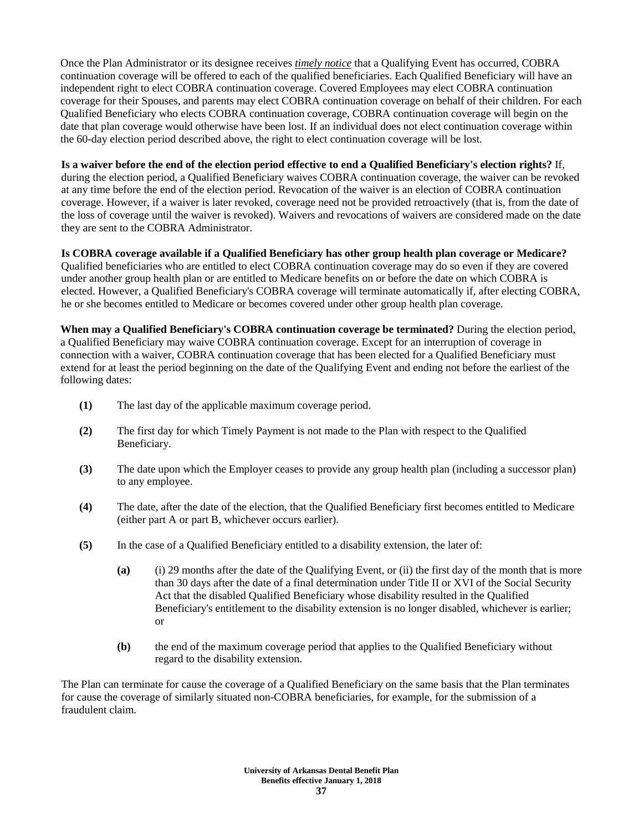Once the Plan Administrator or its designee receives *timely notice* that a Qualifying Event has occurred, COBRA continuation coverage will be offered to each of the qualified beneficiaries. Each Qualified Beneficiary will have an independent right to elect COBRA continuation coverage. Covered Employees may elect COBRA continuation coverage for their Spouses, and parents may elect COBRA continuation coverage on behalf of their children. For each Qualified Beneficiary who elects COBRA continuation coverage, COBRA continuation coverage will begin on the date that plan coverage would otherwise have been lost. If an individual does not elect continuation coverage within the 60-day election period described above, the right to elect continuation coverage will be lost.

## **Is a waiver before the end of the election period effective to end a Qualified Beneficiary's election rights?** If,

during the election period, a Qualified Beneficiary waives COBRA continuation coverage, the waiver can be revoked at any time before the end of the election period. Revocation of the waiver is an election of COBRA continuation coverage. However, if a waiver is later revoked, coverage need not be provided retroactively (that is, from the date of the loss of coverage until the waiver is revoked). Waivers and revocations of waivers are considered made on the date they are sent to the COBRA Administrator.

**Is COBRA coverage available if a Qualified Beneficiary has other group health plan coverage or Medicare?**  Qualified beneficiaries who are entitled to elect COBRA continuation coverage may do so even if they are covered under another group health plan or are entitled to Medicare benefits on or before the date on which COBRA is elected. However, a Qualified Beneficiary's COBRA coverage will terminate automatically if, after electing COBRA, he or she becomes entitled to Medicare or becomes covered under other group health plan coverage.

**When may a Qualified Beneficiary's COBRA continuation coverage be terminated?** During the election period, a Qualified Beneficiary may waive COBRA continuation coverage. Except for an interruption of coverage in connection with a waiver, COBRA continuation coverage that has been elected for a Qualified Beneficiary must extend for at least the period beginning on the date of the Qualifying Event and ending not before the earliest of the following dates:

- **(1)** The last day of the applicable maximum coverage period.
- **(2)** The first day for which Timely Payment is not made to the Plan with respect to the Qualified Beneficiary.
- **(3)** The date upon which the Employer ceases to provide any group health plan (including a successor plan) to any employee.
- **(4)** The date, after the date of the election, that the Qualified Beneficiary first becomes entitled to Medicare (either part A or part B, whichever occurs earlier).
- **(5)** In the case of a Qualified Beneficiary entitled to a disability extension, the later of:
	- **(a)** (i) 29 months after the date of the Qualifying Event, or (ii) the first day of the month that is more than 30 days after the date of a final determination under Title II or XVI of the Social Security Act that the disabled Qualified Beneficiary whose disability resulted in the Qualified Beneficiary's entitlement to the disability extension is no longer disabled, whichever is earlier; or
	- **(b)** the end of the maximum coverage period that applies to the Qualified Beneficiary without regard to the disability extension.

The Plan can terminate for cause the coverage of a Qualified Beneficiary on the same basis that the Plan terminates for cause the coverage of similarly situated non-COBRA beneficiaries, for example, for the submission of a fraudulent claim.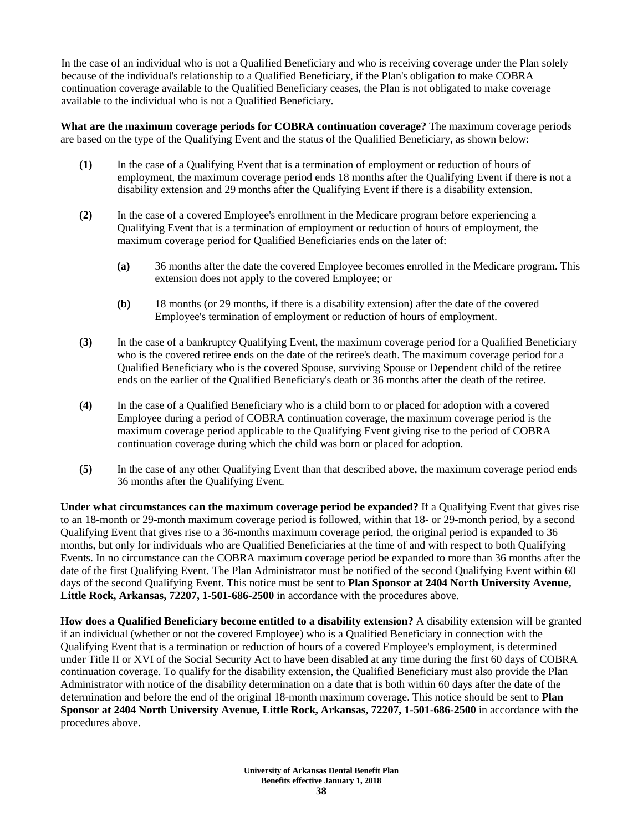In the case of an individual who is not a Qualified Beneficiary and who is receiving coverage under the Plan solely because of the individual's relationship to a Qualified Beneficiary, if the Plan's obligation to make COBRA continuation coverage available to the Qualified Beneficiary ceases, the Plan is not obligated to make coverage available to the individual who is not a Qualified Beneficiary.

**What are the maximum coverage periods for COBRA continuation coverage?** The maximum coverage periods are based on the type of the Qualifying Event and the status of the Qualified Beneficiary, as shown below:

- **(1)** In the case of a Qualifying Event that is a termination of employment or reduction of hours of employment, the maximum coverage period ends 18 months after the Qualifying Event if there is not a disability extension and 29 months after the Qualifying Event if there is a disability extension.
- **(2)** In the case of a covered Employee's enrollment in the Medicare program before experiencing a Qualifying Event that is a termination of employment or reduction of hours of employment, the maximum coverage period for Qualified Beneficiaries ends on the later of:
	- **(a)** 36 months after the date the covered Employee becomes enrolled in the Medicare program. This extension does not apply to the covered Employee; or
	- **(b)** 18 months (or 29 months, if there is a disability extension) after the date of the covered Employee's termination of employment or reduction of hours of employment.
- **(3)** In the case of a bankruptcy Qualifying Event, the maximum coverage period for a Qualified Beneficiary who is the covered retiree ends on the date of the retiree's death. The maximum coverage period for a Qualified Beneficiary who is the covered Spouse, surviving Spouse or Dependent child of the retiree ends on the earlier of the Qualified Beneficiary's death or 36 months after the death of the retiree.
- **(4)** In the case of a Qualified Beneficiary who is a child born to or placed for adoption with a covered Employee during a period of COBRA continuation coverage, the maximum coverage period is the maximum coverage period applicable to the Qualifying Event giving rise to the period of COBRA continuation coverage during which the child was born or placed for adoption.
- **(5)** In the case of any other Qualifying Event than that described above, the maximum coverage period ends 36 months after the Qualifying Event.

**Under what circumstances can the maximum coverage period be expanded?** If a Qualifying Event that gives rise to an 18-month or 29-month maximum coverage period is followed, within that 18- or 29-month period, by a second Qualifying Event that gives rise to a 36-months maximum coverage period, the original period is expanded to 36 months, but only for individuals who are Qualified Beneficiaries at the time of and with respect to both Qualifying Events. In no circumstance can the COBRA maximum coverage period be expanded to more than 36 months after the date of the first Qualifying Event. The Plan Administrator must be notified of the second Qualifying Event within 60 days of the second Qualifying Event. This notice must be sent to **Plan Sponsor at 2404 North University Avenue, Little Rock, Arkansas, 72207, 1-501-686-2500** in accordance with the procedures above.

**How does a Qualified Beneficiary become entitled to a disability extension?** A disability extension will be granted if an individual (whether or not the covered Employee) who is a Qualified Beneficiary in connection with the Qualifying Event that is a termination or reduction of hours of a covered Employee's employment, is determined under Title II or XVI of the Social Security Act to have been disabled at any time during the first 60 days of COBRA continuation coverage. To qualify for the disability extension, the Qualified Beneficiary must also provide the Plan Administrator with notice of the disability determination on a date that is both within 60 days after the date of the determination and before the end of the original 18-month maximum coverage. This notice should be sent to **Plan Sponsor at 2404 North University Avenue, Little Rock, Arkansas, 72207, 1-501-686-2500** in accordance with the procedures above.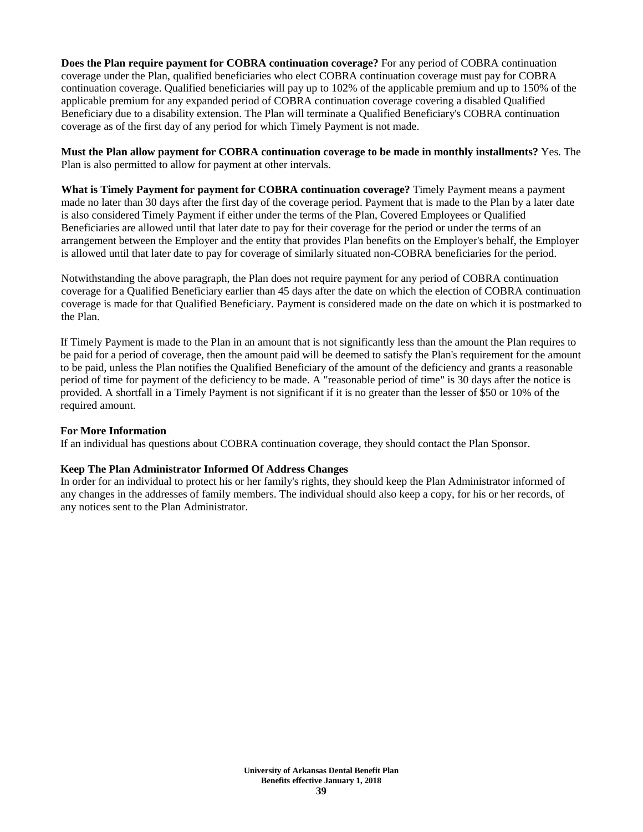**Does the Plan require payment for COBRA continuation coverage?** For any period of COBRA continuation coverage under the Plan, qualified beneficiaries who elect COBRA continuation coverage must pay for COBRA continuation coverage. Qualified beneficiaries will pay up to 102% of the applicable premium and up to 150% of the applicable premium for any expanded period of COBRA continuation coverage covering a disabled Qualified Beneficiary due to a disability extension. The Plan will terminate a Qualified Beneficiary's COBRA continuation coverage as of the first day of any period for which Timely Payment is not made.

**Must the Plan allow payment for COBRA continuation coverage to be made in monthly installments?** Yes. The Plan is also permitted to allow for payment at other intervals.

**What is Timely Payment for payment for COBRA continuation coverage?** Timely Payment means a payment made no later than 30 days after the first day of the coverage period. Payment that is made to the Plan by a later date is also considered Timely Payment if either under the terms of the Plan, Covered Employees or Qualified Beneficiaries are allowed until that later date to pay for their coverage for the period or under the terms of an arrangement between the Employer and the entity that provides Plan benefits on the Employer's behalf, the Employer is allowed until that later date to pay for coverage of similarly situated non-COBRA beneficiaries for the period.

Notwithstanding the above paragraph, the Plan does not require payment for any period of COBRA continuation coverage for a Qualified Beneficiary earlier than 45 days after the date on which the election of COBRA continuation coverage is made for that Qualified Beneficiary. Payment is considered made on the date on which it is postmarked to the Plan.

If Timely Payment is made to the Plan in an amount that is not significantly less than the amount the Plan requires to be paid for a period of coverage, then the amount paid will be deemed to satisfy the Plan's requirement for the amount to be paid, unless the Plan notifies the Qualified Beneficiary of the amount of the deficiency and grants a reasonable period of time for payment of the deficiency to be made. A "reasonable period of time" is 30 days after the notice is provided. A shortfall in a Timely Payment is not significant if it is no greater than the lesser of \$50 or 10% of the required amount.

#### **For More Information**

If an individual has questions about COBRA continuation coverage, they should contact the Plan Sponsor.

#### **Keep The Plan Administrator Informed Of Address Changes**

In order for an individual to protect his or her family's rights, they should keep the Plan Administrator informed of any changes in the addresses of family members. The individual should also keep a copy, for his or her records, of any notices sent to the Plan Administrator.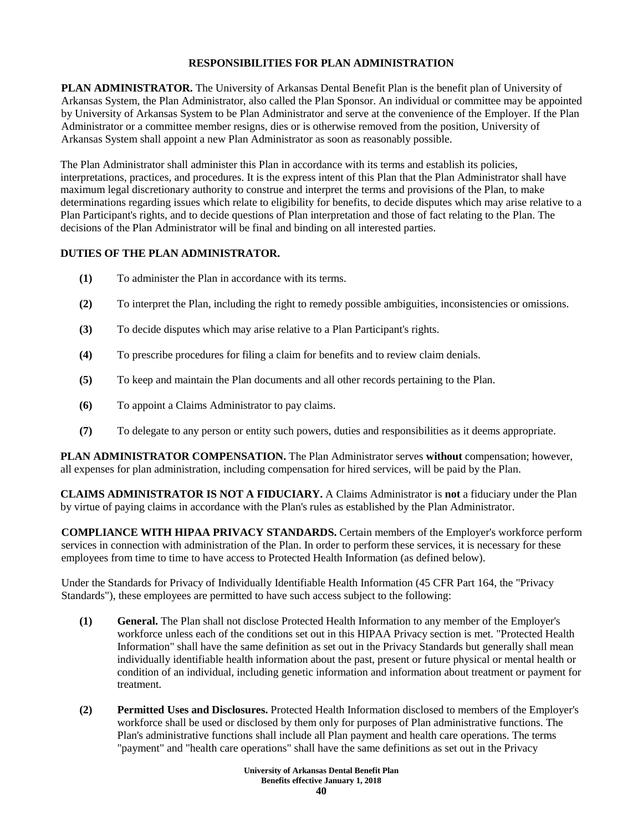# **RESPONSIBILITIES FOR PLAN ADMINISTRATION**

**PLAN ADMINISTRATOR.** The University of Arkansas Dental Benefit Plan is the benefit plan of University of Arkansas System, the Plan Administrator, also called the Plan Sponsor. An individual or committee may be appointed by University of Arkansas System to be Plan Administrator and serve at the convenience of the Employer. If the Plan Administrator or a committee member resigns, dies or is otherwise removed from the position, University of Arkansas System shall appoint a new Plan Administrator as soon as reasonably possible.

The Plan Administrator shall administer this Plan in accordance with its terms and establish its policies, interpretations, practices, and procedures. It is the express intent of this Plan that the Plan Administrator shall have maximum legal discretionary authority to construe and interpret the terms and provisions of the Plan, to make determinations regarding issues which relate to eligibility for benefits, to decide disputes which may arise relative to a Plan Participant's rights, and to decide questions of Plan interpretation and those of fact relating to the Plan. The decisions of the Plan Administrator will be final and binding on all interested parties.

# **DUTIES OF THE PLAN ADMINISTRATOR.**

- **(1)** To administer the Plan in accordance with its terms.
- **(2)** To interpret the Plan, including the right to remedy possible ambiguities, inconsistencies or omissions.
- **(3)** To decide disputes which may arise relative to a Plan Participant's rights.
- **(4)** To prescribe procedures for filing a claim for benefits and to review claim denials.
- **(5)** To keep and maintain the Plan documents and all other records pertaining to the Plan.
- **(6)** To appoint a Claims Administrator to pay claims.
- **(7)** To delegate to any person or entity such powers, duties and responsibilities as it deems appropriate.

**PLAN ADMINISTRATOR COMPENSATION.** The Plan Administrator serves **without** compensation; however, all expenses for plan administration, including compensation for hired services, will be paid by the Plan.

**CLAIMS ADMINISTRATOR IS NOT A FIDUCIARY.** A Claims Administrator is **not** a fiduciary under the Plan by virtue of paying claims in accordance with the Plan's rules as established by the Plan Administrator.

**COMPLIANCE WITH HIPAA PRIVACY STANDARDS.** Certain members of the Employer's workforce perform services in connection with administration of the Plan. In order to perform these services, it is necessary for these employees from time to time to have access to Protected Health Information (as defined below).

Under the Standards for Privacy of Individually Identifiable Health Information (45 CFR Part 164, the "Privacy Standards"), these employees are permitted to have such access subject to the following:

- **(1) General.** The Plan shall not disclose Protected Health Information to any member of the Employer's workforce unless each of the conditions set out in this HIPAA Privacy section is met. "Protected Health Information" shall have the same definition as set out in the Privacy Standards but generally shall mean individually identifiable health information about the past, present or future physical or mental health or condition of an individual, including genetic information and information about treatment or payment for treatment.
- **(2) Permitted Uses and Disclosures.** Protected Health Information disclosed to members of the Employer's workforce shall be used or disclosed by them only for purposes of Plan administrative functions. The Plan's administrative functions shall include all Plan payment and health care operations. The terms "payment" and "health care operations" shall have the same definitions as set out in the Privacy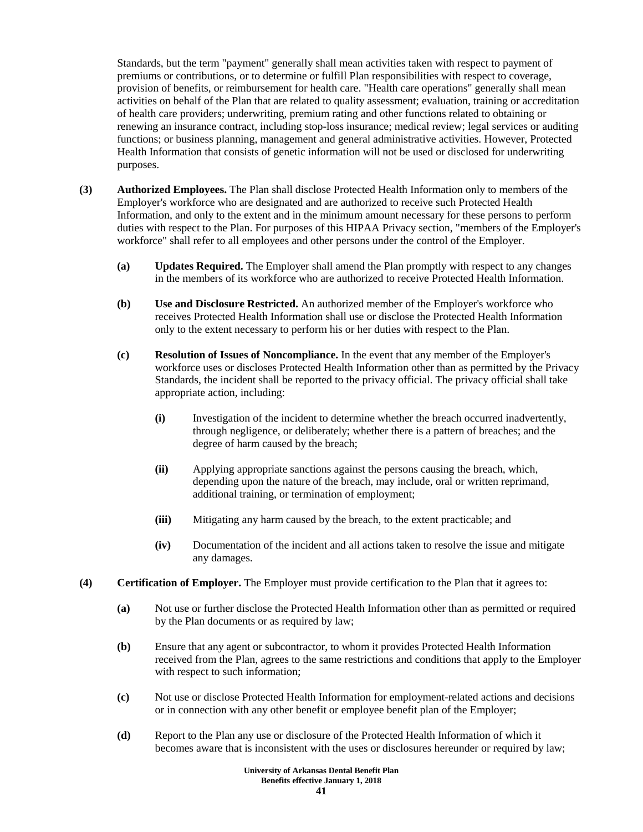Standards, but the term "payment" generally shall mean activities taken with respect to payment of premiums or contributions, or to determine or fulfill Plan responsibilities with respect to coverage, provision of benefits, or reimbursement for health care. "Health care operations" generally shall mean activities on behalf of the Plan that are related to quality assessment; evaluation, training or accreditation of health care providers; underwriting, premium rating and other functions related to obtaining or renewing an insurance contract, including stop-loss insurance; medical review; legal services or auditing functions; or business planning, management and general administrative activities. However, Protected Health Information that consists of genetic information will not be used or disclosed for underwriting purposes.

- **(3) Authorized Employees.** The Plan shall disclose Protected Health Information only to members of the Employer's workforce who are designated and are authorized to receive such Protected Health Information, and only to the extent and in the minimum amount necessary for these persons to perform duties with respect to the Plan. For purposes of this HIPAA Privacy section, "members of the Employer's workforce" shall refer to all employees and other persons under the control of the Employer.
	- **(a) Updates Required.** The Employer shall amend the Plan promptly with respect to any changes in the members of its workforce who are authorized to receive Protected Health Information.
	- **(b) Use and Disclosure Restricted.** An authorized member of the Employer's workforce who receives Protected Health Information shall use or disclose the Protected Health Information only to the extent necessary to perform his or her duties with respect to the Plan.
	- **(c) Resolution of Issues of Noncompliance.** In the event that any member of the Employer's workforce uses or discloses Protected Health Information other than as permitted by the Privacy Standards, the incident shall be reported to the privacy official. The privacy official shall take appropriate action, including:
		- **(i)** Investigation of the incident to determine whether the breach occurred inadvertently, through negligence, or deliberately; whether there is a pattern of breaches; and the degree of harm caused by the breach;
		- **(ii)** Applying appropriate sanctions against the persons causing the breach, which, depending upon the nature of the breach, may include, oral or written reprimand, additional training, or termination of employment;
		- **(iii)** Mitigating any harm caused by the breach, to the extent practicable; and
		- **(iv)** Documentation of the incident and all actions taken to resolve the issue and mitigate any damages.
- **(4) Certification of Employer.** The Employer must provide certification to the Plan that it agrees to:
	- **(a)** Not use or further disclose the Protected Health Information other than as permitted or required by the Plan documents or as required by law;
	- **(b)** Ensure that any agent or subcontractor, to whom it provides Protected Health Information received from the Plan, agrees to the same restrictions and conditions that apply to the Employer with respect to such information;
	- **(c)** Not use or disclose Protected Health Information for employment-related actions and decisions or in connection with any other benefit or employee benefit plan of the Employer;
	- **(d)** Report to the Plan any use or disclosure of the Protected Health Information of which it becomes aware that is inconsistent with the uses or disclosures hereunder or required by law;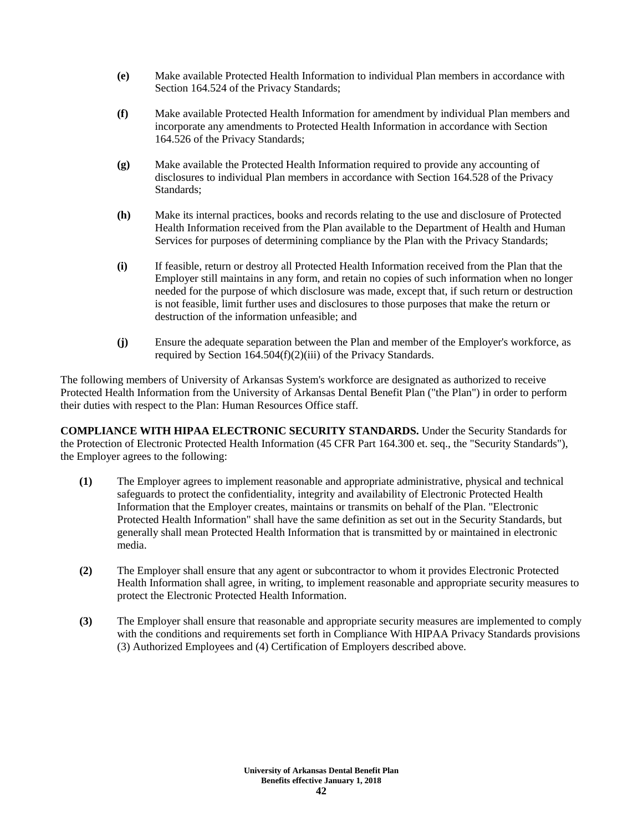- **(e)** Make available Protected Health Information to individual Plan members in accordance with Section 164.524 of the Privacy Standards;
- **(f)** Make available Protected Health Information for amendment by individual Plan members and incorporate any amendments to Protected Health Information in accordance with Section 164.526 of the Privacy Standards;
- **(g)** Make available the Protected Health Information required to provide any accounting of disclosures to individual Plan members in accordance with Section 164.528 of the Privacy Standards;
- **(h)** Make its internal practices, books and records relating to the use and disclosure of Protected Health Information received from the Plan available to the Department of Health and Human Services for purposes of determining compliance by the Plan with the Privacy Standards;
- **(i)** If feasible, return or destroy all Protected Health Information received from the Plan that the Employer still maintains in any form, and retain no copies of such information when no longer needed for the purpose of which disclosure was made, except that, if such return or destruction is not feasible, limit further uses and disclosures to those purposes that make the return or destruction of the information unfeasible; and
- **(j)** Ensure the adequate separation between the Plan and member of the Employer's workforce, as required by Section 164.504(f)(2)(iii) of the Privacy Standards.

The following members of University of Arkansas System's workforce are designated as authorized to receive Protected Health Information from the University of Arkansas Dental Benefit Plan ("the Plan") in order to perform their duties with respect to the Plan: Human Resources Office staff.

**COMPLIANCE WITH HIPAA ELECTRONIC SECURITY STANDARDS.** Under the Security Standards for the Protection of Electronic Protected Health Information (45 CFR Part 164.300 et. seq., the "Security Standards"), the Employer agrees to the following:

- **(1)** The Employer agrees to implement reasonable and appropriate administrative, physical and technical safeguards to protect the confidentiality, integrity and availability of Electronic Protected Health Information that the Employer creates, maintains or transmits on behalf of the Plan. "Electronic Protected Health Information" shall have the same definition as set out in the Security Standards, but generally shall mean Protected Health Information that is transmitted by or maintained in electronic media.
- **(2)** The Employer shall ensure that any agent or subcontractor to whom it provides Electronic Protected Health Information shall agree, in writing, to implement reasonable and appropriate security measures to protect the Electronic Protected Health Information.
- **(3)** The Employer shall ensure that reasonable and appropriate security measures are implemented to comply with the conditions and requirements set forth in Compliance With HIPAA Privacy Standards provisions (3) Authorized Employees and (4) Certification of Employers described above.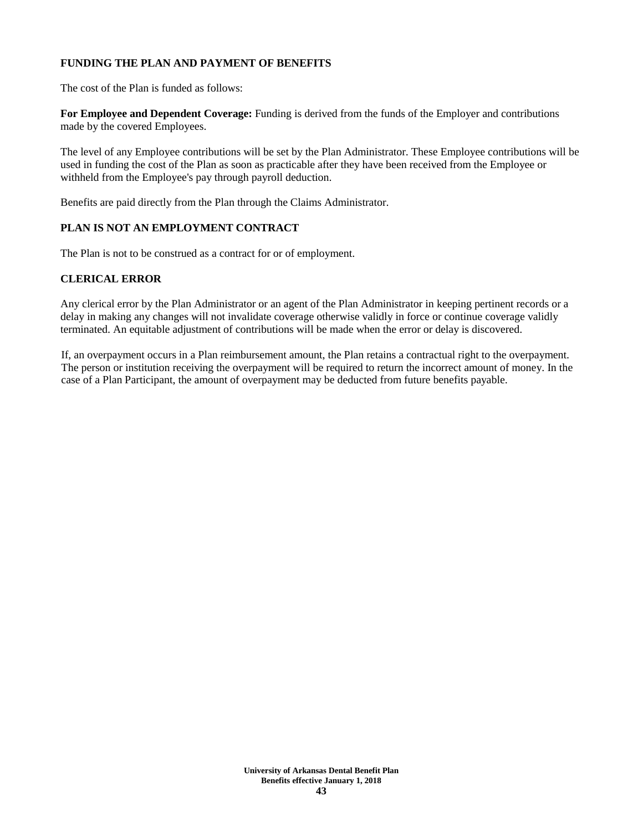# **FUNDING THE PLAN AND PAYMENT OF BENEFITS**

The cost of the Plan is funded as follows:

**For Employee and Dependent Coverage:** Funding is derived from the funds of the Employer and contributions made by the covered Employees.

The level of any Employee contributions will be set by the Plan Administrator. These Employee contributions will be used in funding the cost of the Plan as soon as practicable after they have been received from the Employee or withheld from the Employee's pay through payroll deduction.

Benefits are paid directly from the Plan through the Claims Administrator.

# **PLAN IS NOT AN EMPLOYMENT CONTRACT**

The Plan is not to be construed as a contract for or of employment.

# **CLERICAL ERROR**

Any clerical error by the Plan Administrator or an agent of the Plan Administrator in keeping pertinent records or a delay in making any changes will not invalidate coverage otherwise validly in force or continue coverage validly terminated. An equitable adjustment of contributions will be made when the error or delay is discovered.

If, an overpayment occurs in a Plan reimbursement amount, the Plan retains a contractual right to the overpayment. The person or institution receiving the overpayment will be required to return the incorrect amount of money. In the case of a Plan Participant, the amount of overpayment may be deducted from future benefits payable.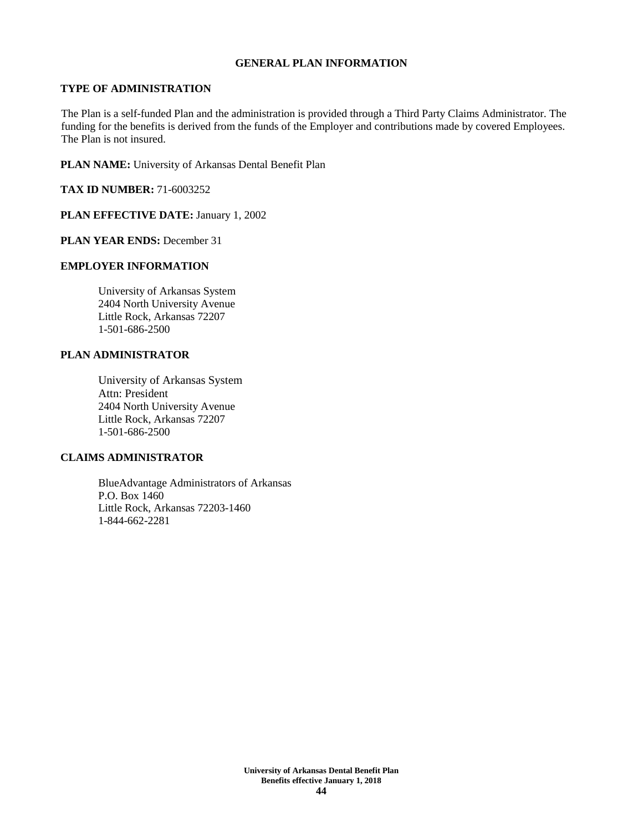#### **GENERAL PLAN INFORMATION**

### **TYPE OF ADMINISTRATION**

The Plan is a self-funded Plan and the administration is provided through a Third Party Claims Administrator. The funding for the benefits is derived from the funds of the Employer and contributions made by covered Employees. The Plan is not insured.

**PLAN NAME:** University of Arkansas Dental Benefit Plan

**TAX ID NUMBER:** 71-6003252

**PLAN EFFECTIVE DATE:** January 1, 2002

**PLAN YEAR ENDS:** December 31

# **EMPLOYER INFORMATION**

University of Arkansas System 2404 North University Avenue Little Rock, Arkansas 72207 1-501-686-2500

# **PLAN ADMINISTRATOR**

University of Arkansas System Attn: President 2404 North University Avenue Little Rock, Arkansas 72207 1-501-686-2500

# **CLAIMS ADMINISTRATOR**

BlueAdvantage Administrators of Arkansas P.O. Box 1460 Little Rock, Arkansas 72203-1460 1-844-662-2281